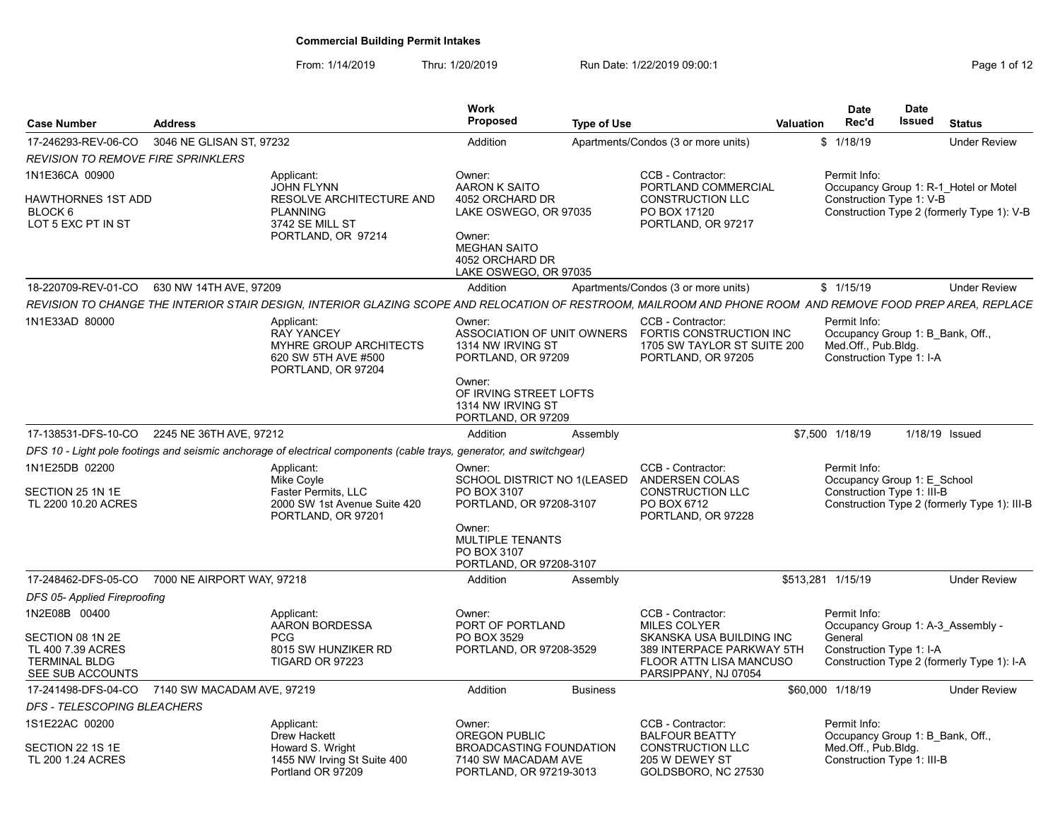| <b>Case Number</b>                                                                                 | <b>Address</b>             |                                                                                                                                                             | <b>Work</b><br>Proposed                                                                                                                                 | <b>Type of Use</b> |                                                                                                                                                      | Valuation | <b>Date</b><br>Rec'd                                                                                  | Date<br>Issued | <b>Status</b>                                                                       |
|----------------------------------------------------------------------------------------------------|----------------------------|-------------------------------------------------------------------------------------------------------------------------------------------------------------|---------------------------------------------------------------------------------------------------------------------------------------------------------|--------------------|------------------------------------------------------------------------------------------------------------------------------------------------------|-----------|-------------------------------------------------------------------------------------------------------|----------------|-------------------------------------------------------------------------------------|
| 17-246293-REV-06-CO                                                                                | 3046 NE GLISAN ST, 97232   |                                                                                                                                                             | Addition                                                                                                                                                |                    | Apartments/Condos (3 or more units)                                                                                                                  |           | \$1/18/19                                                                                             |                | <b>Under Review</b>                                                                 |
| <i>REVISION TO REMOVE FIRE SPRINKLERS</i>                                                          |                            |                                                                                                                                                             |                                                                                                                                                         |                    |                                                                                                                                                      |           |                                                                                                       |                |                                                                                     |
| 1N1E36CA 00900<br>HAWTHORNES 1ST ADD<br>BLOCK 6<br>LOT 5 EXC PT IN ST                              |                            | Applicant:<br><b>JOHN FLYNN</b><br>RESOLVE ARCHITECTURE AND<br><b>PLANNING</b><br>3742 SE MILL ST<br>PORTLAND, OR 97214                                     | Owner:<br>AARON K SAITO<br>4052 ORCHARD DR<br>LAKE OSWEGO, OR 97035<br>Owner:<br><b>MEGHAN SAITO</b><br>4052 ORCHARD DR<br>LAKE OSWEGO, OR 97035        |                    | CCB - Contractor:<br>PORTLAND COMMERCIAL<br><b>CONSTRUCTION LLC</b><br>PO BOX 17120<br>PORTLAND, OR 97217                                            |           | Permit Info:<br>Construction Type 1: V-B                                                              |                | Occupancy Group 1: R-1 Hotel or Motel<br>Construction Type 2 (formerly Type 1): V-B |
| 18-220709-REV-01-CO                                                                                | 630 NW 14TH AVE, 97209     |                                                                                                                                                             | Addition                                                                                                                                                |                    | Apartments/Condos (3 or more units)                                                                                                                  |           | \$1/15/19                                                                                             |                | <b>Under Review</b>                                                                 |
|                                                                                                    |                            | REVISION TO CHANGE THE INTERIOR STAIR DESIGN, INTERIOR GLAZING SCOPE AND RELOCATION OF RESTROOM, MAILROOM AND PHONE ROOM AND REMOVE FOOD PREP AREA, REPLACE |                                                                                                                                                         |                    |                                                                                                                                                      |           |                                                                                                       |                |                                                                                     |
| 1N1E33AD 80000                                                                                     |                            | Applicant:<br><b>RAY YANCEY</b><br><b>MYHRE GROUP ARCHITECTS</b><br>620 SW 5TH AVE #500<br>PORTLAND, OR 97204                                               | Owner:<br>ASSOCIATION OF UNIT OWNERS<br>1314 NW IRVING ST<br>PORTLAND, OR 97209<br>Owner:<br>OF IRVING STREET LOFTS<br>1314 NW IRVING ST                |                    | CCB - Contractor:<br>FORTIS CONSTRUCTION INC<br>1705 SW TAYLOR ST SUITE 200<br>PORTLAND, OR 97205                                                    |           | Permit Info:<br>Occupancy Group 1: B Bank, Off.,<br>Med.Off., Pub.Bldg.<br>Construction Type 1: I-A   |                |                                                                                     |
|                                                                                                    | 2245 NE 36TH AVE, 97212    |                                                                                                                                                             | PORTLAND, OR 97209                                                                                                                                      |                    |                                                                                                                                                      |           |                                                                                                       |                |                                                                                     |
| 17-138531-DFS-10-CO                                                                                |                            |                                                                                                                                                             | Addition                                                                                                                                                | Assembly           |                                                                                                                                                      |           | \$7.500 1/18/19                                                                                       |                | 1/18/19 Issued                                                                      |
|                                                                                                    |                            | DFS 10 - Light pole footings and seismic anchorage of electrical components (cable trays, generator, and switchgear)                                        |                                                                                                                                                         |                    |                                                                                                                                                      |           |                                                                                                       |                |                                                                                     |
| 1N1E25DB 02200<br>SECTION 25 1N 1E<br>TL 2200 10.20 ACRES                                          |                            | Applicant:<br>Mike Coyle<br>Faster Permits, LLC<br>2000 SW 1st Avenue Suite 420<br>PORTLAND, OR 97201                                                       | Owner:<br>SCHOOL DISTRICT NO 1(LEASED<br>PO BOX 3107<br>PORTLAND, OR 97208-3107<br>Owner:<br>MULTIPLE TENANTS<br>PO BOX 3107<br>PORTLAND, OR 97208-3107 |                    | CCB - Contractor:<br>ANDERSEN COLAS<br><b>CONSTRUCTION LLC</b><br>PO BOX 6712<br>PORTLAND, OR 97228                                                  |           | Permit Info:<br>Occupancy Group 1: E School<br>Construction Type 1: III-B                             |                | Construction Type 2 (formerly Type 1): III-B                                        |
| 17-248462-DFS-05-CO                                                                                | 7000 NE AIRPORT WAY, 97218 |                                                                                                                                                             | Addition                                                                                                                                                | Assembly           |                                                                                                                                                      |           | \$513.281 1/15/19                                                                                     |                | <b>Under Review</b>                                                                 |
| DFS 05- Applied Fireproofing                                                                       |                            |                                                                                                                                                             |                                                                                                                                                         |                    |                                                                                                                                                      |           |                                                                                                       |                |                                                                                     |
| 1N2E08B 00400<br>SECTION 08 1N 2E<br>TL 400 7.39 ACRES<br><b>TERMINAL BLDG</b><br>SEE SUB ACCOUNTS |                            | Applicant:<br>AARON BORDESSA<br><b>PCG</b><br>8015 SW HUNZIKER RD<br><b>TIGARD OR 97223</b>                                                                 | Owner:<br>PORT OF PORTLAND<br>PO BOX 3529<br>PORTLAND, OR 97208-3529                                                                                    |                    | CCB - Contractor:<br><b>MILES COLYER</b><br>SKANSKA USA BUILDING INC<br>389 INTERPACE PARKWAY 5TH<br>FLOOR ATTN LISA MANCUSO<br>PARSIPPANY, NJ 07054 |           | Permit Info:<br>Occupancy Group 1: A-3 Assembly -<br>General<br>Construction Type 1: I-A              |                | Construction Type 2 (formerly Type 1): I-A                                          |
| 17-241498-DFS-04-CO 7140 SW MACADAM AVE, 97219                                                     |                            |                                                                                                                                                             | Addition                                                                                                                                                | <b>Business</b>    |                                                                                                                                                      |           | \$60,000 1/18/19                                                                                      |                | <b>Under Review</b>                                                                 |
| DFS - TELESCOPING BLEACHERS                                                                        |                            |                                                                                                                                                             |                                                                                                                                                         |                    |                                                                                                                                                      |           |                                                                                                       |                |                                                                                     |
| 1S1E22AC 00200<br>SECTION 22 1S 1E<br>TL 200 1.24 ACRES                                            |                            | Applicant:<br>Drew Hackett<br>Howard S. Wright<br>1455 NW Irving St Suite 400<br>Portland OR 97209                                                          | Owner:<br><b>OREGON PUBLIC</b><br><b>BROADCASTING FOUNDATION</b><br>7140 SW MACADAM AVE<br>PORTLAND, OR 97219-3013                                      |                    | CCB - Contractor:<br><b>BALFOUR BEATTY</b><br><b>CONSTRUCTION LLC</b><br>205 W DEWEY ST<br>GOLDSBORO, NC 27530                                       |           | Permit Info:<br>Occupancy Group 1: B Bank, Off.,<br>Med.Off., Pub.Bldg.<br>Construction Type 1: III-B |                |                                                                                     |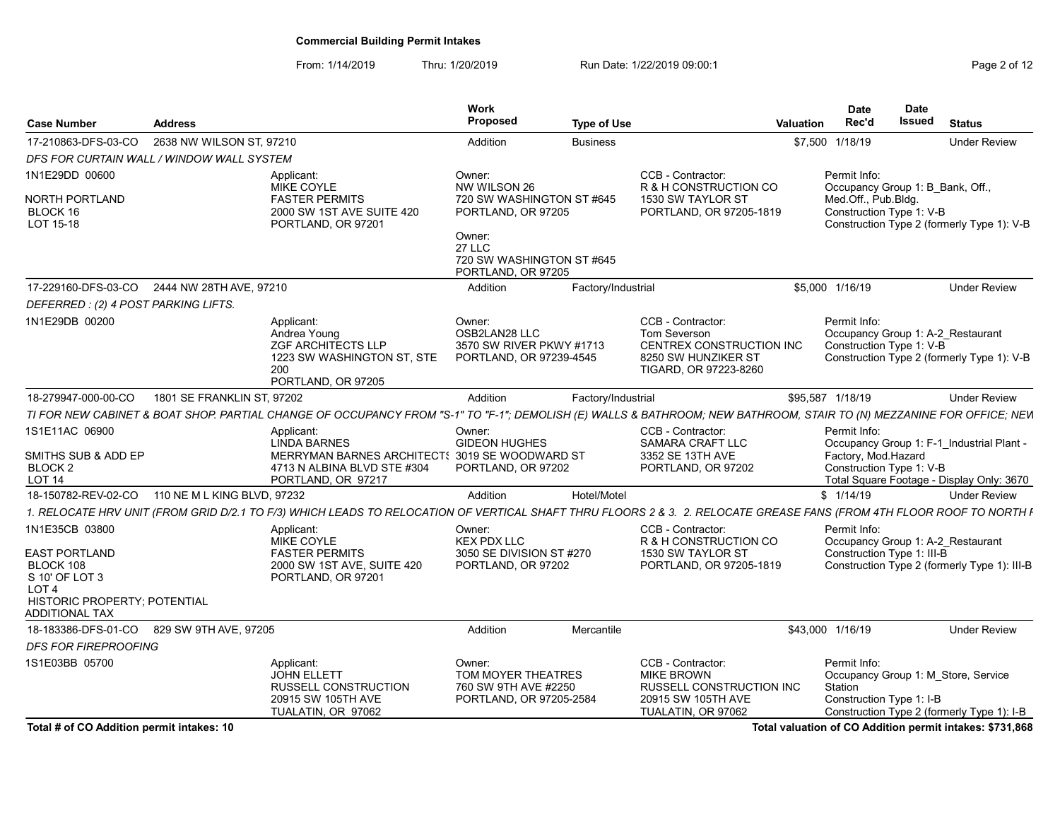From: 1/14/2019 Thru: 1/20/2019 Run Date: 1/22/2019 09:00:1<br>
Page 2 of 12

| <b>Case Number</b><br><b>Address</b>            |                                                                                                                                                                      | Work<br>Proposed                              | <b>Type of Use</b> |                                                 | Date<br>Rec'd<br>Valuation | Date<br>Issued                                                | <b>Status</b>       |
|-------------------------------------------------|----------------------------------------------------------------------------------------------------------------------------------------------------------------------|-----------------------------------------------|--------------------|-------------------------------------------------|----------------------------|---------------------------------------------------------------|---------------------|
| 17-210863-DFS-03-CO 2638 NW WILSON ST, 97210    |                                                                                                                                                                      | Addition                                      | <b>Business</b>    |                                                 | \$7,500 1/18/19            |                                                               | <b>Under Review</b> |
| DFS FOR CURTAIN WALL / WINDOW WALL SYSTEM       |                                                                                                                                                                      |                                               |                    |                                                 |                            |                                                               |                     |
| 1N1E29DD 00600                                  | Applicant:                                                                                                                                                           | Owner:                                        |                    | CCB - Contractor:                               | Permit Info:               |                                                               |                     |
| NORTH PORTLAND                                  | MIKE COYLE<br><b>FASTER PERMITS</b>                                                                                                                                  | NW WILSON 26<br>720 SW WASHINGTON ST #645     |                    | R & H CONSTRUCTION CO<br>1530 SW TAYLOR ST      | Med.Off., Pub.Bldg.        | Occupancy Group 1: B Bank, Off.,                              |                     |
| BLOCK 16                                        | 2000 SW 1ST AVE SUITE 420                                                                                                                                            | PORTLAND, OR 97205                            |                    | PORTLAND, OR 97205-1819                         |                            | Construction Type 1: V-B                                      |                     |
| LOT 15-18                                       | PORTLAND, OR 97201                                                                                                                                                   |                                               |                    |                                                 |                            | Construction Type 2 (formerly Type 1): V-B                    |                     |
|                                                 |                                                                                                                                                                      | Owner:<br><b>27 LLC</b>                       |                    |                                                 |                            |                                                               |                     |
|                                                 |                                                                                                                                                                      | 720 SW WASHINGTON ST #645                     |                    |                                                 |                            |                                                               |                     |
|                                                 |                                                                                                                                                                      | PORTLAND, OR 97205                            |                    |                                                 |                            |                                                               |                     |
| 17-229160-DFS-03-CO 2444 NW 28TH AVE, 97210     |                                                                                                                                                                      | Addition                                      | Factory/Industrial |                                                 | \$5,000 1/16/19            |                                                               | <b>Under Review</b> |
| DEFERRED: (2) 4 POST PARKING LIFTS              |                                                                                                                                                                      |                                               |                    |                                                 |                            |                                                               |                     |
| 1N1E29DB 00200                                  | Applicant:<br>Andrea Young                                                                                                                                           | Owner:<br>OSB2LAN28 LLC                       |                    | CCB - Contractor:                               | Permit Info:               |                                                               |                     |
|                                                 | <b>ZGF ARCHITECTS LLP</b>                                                                                                                                            | 3570 SW RIVER PKWY #1713                      |                    | Tom Severson<br><b>CENTREX CONSTRUCTION INC</b> |                            | Occupancy Group 1: A-2 Restaurant<br>Construction Type 1: V-B |                     |
|                                                 | 1223 SW WASHINGTON ST, STE                                                                                                                                           | PORTLAND, OR 97239-4545                       |                    | 8250 SW HUNZIKER ST                             |                            | Construction Type 2 (formerly Type 1): V-B                    |                     |
|                                                 | 200<br>PORTLAND, OR 97205                                                                                                                                            |                                               |                    | TIGARD, OR 97223-8260                           |                            |                                                               |                     |
| 18-279947-000-00-CO  1801 SE FRANKLIN ST, 97202 |                                                                                                                                                                      | Addition                                      | Factory/Industrial |                                                 | \$95,587 1/18/19           |                                                               | Under Review        |
|                                                 |                                                                                                                                                                      |                                               |                    |                                                 |                            |                                                               |                     |
| 1S1E11AC 06900                                  | TI FOR NEW CABINET & BOAT SHOP. PARTIAL CHANGE OF OCCUPANCY FROM "S-1" TO "F-1"; DEMOLISH (E) WALLS & BATHROOM; NEW BATHROOM, STAIR TO (N) MEZZANINE FOR OFFICE; NEW |                                               |                    |                                                 |                            |                                                               |                     |
|                                                 | Applicant:<br>LINDA BARNES                                                                                                                                           | Owner:<br><b>GIDEON HUGHES</b>                |                    | CCB - Contractor:<br>SAMARA CRAFT LLC           | Permit Info:               | Occupancy Group 1: F-1 Industrial Plant -                     |                     |
| SMITHS SUB & ADD EP                             |                                                                                                                                                                      | MERRYMAN BARNES ARCHITECT 3019 SE WOODWARD ST |                    | 3352 SE 13TH AVE                                |                            | Factory, Mod.Hazard                                           |                     |
| BLOCK <sub>2</sub><br><b>LOT 14</b>             | 4713 N ALBINA BLVD STE #304                                                                                                                                          | PORTLAND, OR 97202                            |                    | PORTLAND, OR 97202                              |                            | Construction Type 1: V-B                                      |                     |
|                                                 | PORTLAND, OR 97217                                                                                                                                                   |                                               |                    |                                                 |                            | Total Square Footage - Display Only: 3670                     |                     |
| 18-150782-REV-02-CO 110 NE M L KING BLVD, 97232 |                                                                                                                                                                      | Addition                                      | Hotel/Motel        |                                                 | \$1/14/19                  |                                                               | Under Review        |
|                                                 | 1. RELOCATE HRV UNIT (FROM GRID D/2.1 TO F/3) WHICH LEADS TO RELOCATION OF VERTICAL SHAFT THRU FLOORS 2 & 3. 2. RELOCATE GREASE FANS (FROM 4TH FLOOR ROOF TO NORTH F |                                               |                    |                                                 |                            |                                                               |                     |
| 1N1E35CB 03800                                  | Applicant:<br>MIKE COYLE                                                                                                                                             | Owner:<br>KEX PDX LLC                         |                    | CCB - Contractor:<br>R & H CONSTRUCTION CO      | Permit Info:               | Occupancy Group 1: A-2 Restaurant                             |                     |
| <b>EAST PORTLAND</b>                            | <b>FASTER PERMITS</b>                                                                                                                                                | 3050 SE DIVISION ST #270                      |                    | 1530 SW TAYLOR ST                               |                            | Construction Type 1: III-B                                    |                     |
| BLOCK 108                                       | 2000 SW 1ST AVE, SUITE 420                                                                                                                                           | PORTLAND, OR 97202                            |                    | PORTLAND, OR 97205-1819                         |                            | Construction Type 2 (formerly Type 1): III-B                  |                     |
| S 10' OF LOT 3<br>LOT 4                         | PORTLAND, OR 97201                                                                                                                                                   |                                               |                    |                                                 |                            |                                                               |                     |
| HISTORIC PROPERTY; POTENTIAL                    |                                                                                                                                                                      |                                               |                    |                                                 |                            |                                                               |                     |
| ADDITIONAL TAX                                  |                                                                                                                                                                      |                                               |                    |                                                 |                            |                                                               |                     |
| 18-183386-DFS-01-CO 829 SW 9TH AVE, 97205       |                                                                                                                                                                      | Addition                                      | Mercantile         |                                                 | \$43,000 1/16/19           |                                                               | Under Review        |
| <b>DFS FOR FIREPROOFING</b>                     |                                                                                                                                                                      |                                               |                    |                                                 |                            |                                                               |                     |
| 1S1E03BB 05700                                  | Applicant:                                                                                                                                                           | Owner:                                        |                    | CCB - Contractor:                               | Permit Info:               |                                                               |                     |
|                                                 | JOHN ELLETT<br><b>RUSSELL CONSTRUCTION</b>                                                                                                                           | TOM MOYER THEATRES<br>760 SW 9TH AVE #2250    |                    | <b>MIKE BROWN</b><br>RUSSELL CONSTRUCTION INC   | Station                    | Occupancy Group 1: M_Store, Service                           |                     |
|                                                 | 20915 SW 105TH AVE                                                                                                                                                   | PORTLAND, OR 97205-2584                       |                    | 20915 SW 105TH AVE                              |                            | Construction Type 1: I-B                                      |                     |
|                                                 | TUALATIN, OR 97062                                                                                                                                                   |                                               |                    | TUALATIN, OR 97062                              |                            | Construction Type 2 (formerly Type 1): I-B                    |                     |
| Total # of CO Addition permit intakes: 1        |                                                                                                                                                                      |                                               |                    |                                                 |                            | Total valuation of CO Addition permit intakes: \$731,868      |                     |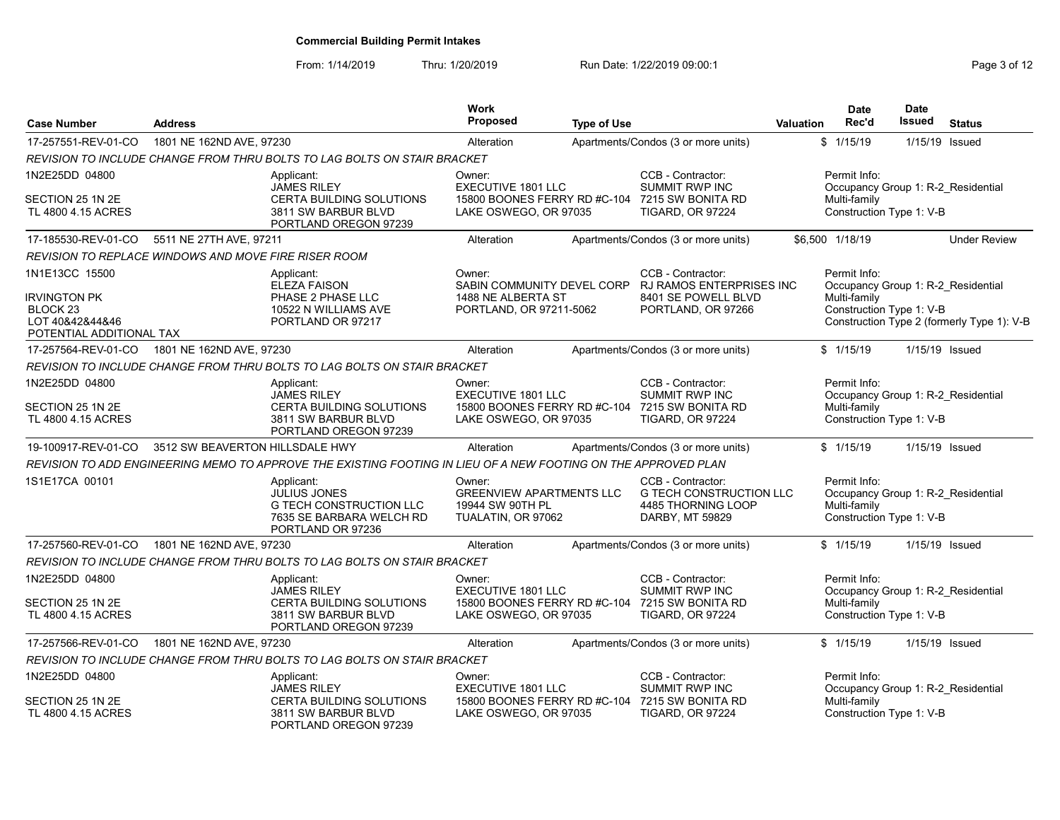| <b>Case Number</b>                                                                                          | <b>Address</b>                  |                                                                                                                      | <b>Work</b><br><b>Proposed</b>                                                               | <b>Type of Use</b> |                                                                                              | <b>Valuation</b> | <b>Date</b><br>Rec'd                                                                           | Date<br><b>Issued</b> | <b>Status</b>                              |
|-------------------------------------------------------------------------------------------------------------|---------------------------------|----------------------------------------------------------------------------------------------------------------------|----------------------------------------------------------------------------------------------|--------------------|----------------------------------------------------------------------------------------------|------------------|------------------------------------------------------------------------------------------------|-----------------------|--------------------------------------------|
| 17-257551-REV-01-CO                                                                                         | 1801 NE 162ND AVE, 97230        |                                                                                                                      | Alteration                                                                                   |                    | Apartments/Condos (3 or more units)                                                          |                  | \$1/15/19                                                                                      | 1/15/19               | Issued                                     |
|                                                                                                             |                                 | REVISION TO INCLUDE CHANGE FROM THRU BOLTS TO LAG BOLTS ON STAIR BRACKET                                             |                                                                                              |                    |                                                                                              |                  |                                                                                                |                       |                                            |
| 1N2E25DD 04800                                                                                              |                                 | Applicant:<br><b>JAMES RILEY</b>                                                                                     | Owner:<br><b>EXECUTIVE 1801 LLC</b>                                                          |                    | CCB - Contractor:<br><b>SUMMIT RWP INC</b>                                                   |                  | Permit Info:<br>Occupancy Group 1: R-2 Residential                                             |                       |                                            |
| SECTION 25 1N 2E<br>TL 4800 4.15 ACRES                                                                      |                                 | CERTA BUILDING SOLUTIONS<br>3811 SW BARBUR BLVD<br>PORTLAND OREGON 97239                                             | LAKE OSWEGO, OR 97035                                                                        |                    | 15800 BOONES FERRY RD #C-104 7215 SW BONITA RD<br><b>TIGARD, OR 97224</b>                    |                  | Multi-family<br>Construction Type 1: V-B                                                       |                       |                                            |
| 17-185530-REV-01-CO                                                                                         | 5511 NE 27TH AVE, 97211         |                                                                                                                      | Alteration                                                                                   |                    | Apartments/Condos (3 or more units)                                                          |                  | \$6,500 1/18/19                                                                                |                       | <b>Under Review</b>                        |
| REVISION TO REPLACE WINDOWS AND MOVE FIRE RISER ROOM                                                        |                                 |                                                                                                                      |                                                                                              |                    |                                                                                              |                  |                                                                                                |                       |                                            |
| 1N1E13CC 15500<br><b>IRVINGTON PK</b><br>BLOCK <sub>23</sub><br>LOT 40&42&44&46<br>POTENTIAL ADDITIONAL TAX |                                 | Applicant:<br><b>ELEZA FAISON</b><br>PHASE 2 PHASE LLC<br>10522 N WILLIAMS AVE<br>PORTLAND OR 97217                  | Owner:<br>SABIN COMMUNITY DEVEL CORP<br>1488 NE ALBERTA ST<br>PORTLAND, OR 97211-5062        |                    | CCB - Contractor:<br>RJ RAMOS ENTERPRISES INC<br>8401 SE POWELL BLVD<br>PORTLAND, OR 97266   |                  | Permit Info:<br>Occupancy Group 1: R-2 Residential<br>Multi-family<br>Construction Type 1: V-B |                       | Construction Type 2 (formerly Type 1): V-B |
| 17-257564-REV-01-CO                                                                                         | 1801 NE 162ND AVE, 97230        |                                                                                                                      | Alteration                                                                                   |                    | Apartments/Condos (3 or more units)                                                          |                  | \$1/15/19                                                                                      |                       | 1/15/19 Issued                             |
|                                                                                                             |                                 | REVISION TO INCLUDE CHANGE FROM THRU BOLTS TO LAG BOLTS ON STAIR BRACKET                                             |                                                                                              |                    |                                                                                              |                  |                                                                                                |                       |                                            |
| 1N2E25DD 04800<br>SECTION 25 1N 2E<br>TL 4800 4.15 ACRES                                                    |                                 | Applicant:<br><b>JAMES RILEY</b><br>CERTA BUILDING SOLUTIONS<br>3811 SW BARBUR BLVD<br>PORTLAND OREGON 97239         | Owner:<br><b>EXECUTIVE 1801 LLC</b><br>15800 BOONES FERRY RD #C-104<br>LAKE OSWEGO, OR 97035 |                    | CCB - Contractor:<br>SUMMIT RWP INC<br>7215 SW BONITA RD<br><b>TIGARD, OR 97224</b>          |                  | Permit Info:<br>Occupancy Group 1: R-2 Residential<br>Multi-family<br>Construction Type 1: V-B |                       |                                            |
| 19-100917-REV-01-CO                                                                                         | 3512 SW BEAVERTON HILLSDALE HWY |                                                                                                                      | Alteration                                                                                   |                    | Apartments/Condos (3 or more units)                                                          |                  | \$1/15/19                                                                                      |                       | 1/15/19 Issued                             |
|                                                                                                             |                                 | REVISION TO ADD ENGINEERING MEMO TO APPROVE THE EXISTING FOOTING IN LIEU OF A NEW FOOTING ON THE APPROVED PLAN       |                                                                                              |                    |                                                                                              |                  |                                                                                                |                       |                                            |
| 1S1E17CA 00101                                                                                              |                                 | Applicant:<br><b>JULIUS JONES</b><br><b>G TECH CONSTRUCTION LLC</b><br>7635 SE BARBARA WELCH RD<br>PORTLAND OR 97236 | Owner:<br><b>GREENVIEW APARTMENTS LLC</b><br>19944 SW 90TH PL<br>TUALATIN, OR 97062          |                    | CCB - Contractor:<br><b>G TECH CONSTRUCTION LLC</b><br>4485 THORNING LOOP<br>DARBY, MT 59829 |                  | Permit Info:<br>Occupancy Group 1: R-2_Residential<br>Multi-family<br>Construction Type 1: V-B |                       |                                            |
| 17-257560-REV-01-CO                                                                                         | 1801 NE 162ND AVE, 97230        |                                                                                                                      | Alteration                                                                                   |                    | Apartments/Condos (3 or more units)                                                          |                  | \$1/15/19                                                                                      |                       | 1/15/19 Issued                             |
|                                                                                                             |                                 | REVISION TO INCLUDE CHANGE FROM THRU BOLTS TO LAG BOLTS ON STAIR BRACKET                                             |                                                                                              |                    |                                                                                              |                  |                                                                                                |                       |                                            |
| 1N2E25DD 04800                                                                                              |                                 | Applicant:<br><b>JAMES RILEY</b>                                                                                     | Owner:<br><b>EXECUTIVE 1801 LLC</b>                                                          |                    | CCB - Contractor:<br><b>SUMMIT RWP INC</b>                                                   |                  | Permit Info:<br>Occupancy Group 1: R-2 Residential                                             |                       |                                            |
| SECTION 25 1N 2E<br>TL 4800 4.15 ACRES                                                                      |                                 | <b>CERTA BUILDING SOLUTIONS</b><br>3811 SW BARBUR BLVD<br>PORTLAND OREGON 97239                                      | 15800 BOONES FERRY RD #C-104<br>LAKE OSWEGO, OR 97035                                        |                    | 7215 SW BONITA RD<br>TIGARD, OR 97224                                                        |                  | Multi-family<br>Construction Type 1: V-B                                                       |                       |                                            |
| 17-257566-REV-01-CO                                                                                         | 1801 NE 162ND AVE, 97230        |                                                                                                                      | Alteration                                                                                   |                    | Apartments/Condos (3 or more units)                                                          |                  | \$1/15/19                                                                                      |                       | 1/15/19 Issued                             |
|                                                                                                             |                                 | REVISION TO INCLUDE CHANGE FROM THRU BOLTS TO LAG BOLTS ON STAIR BRACKET                                             |                                                                                              |                    |                                                                                              |                  |                                                                                                |                       |                                            |
| 1N2E25DD 04800                                                                                              |                                 | Applicant:<br><b>JAMES RILEY</b>                                                                                     | Owner:<br><b>EXECUTIVE 1801 LLC</b>                                                          |                    | CCB - Contractor:<br><b>SUMMIT RWP INC</b>                                                   |                  | Permit Info:<br>Occupancy Group 1: R-2 Residential                                             |                       |                                            |
| SECTION 25 1N 2E<br>TL 4800 4.15 ACRES                                                                      |                                 | <b>CERTA BUILDING SOLUTIONS</b><br>3811 SW BARBUR BLVD<br>PORTLAND OREGON 97239                                      | 15800 BOONES FERRY RD #C-104<br>LAKE OSWEGO, OR 97035                                        |                    | 7215 SW BONITA RD<br><b>TIGARD, OR 97224</b>                                                 |                  | Multi-family<br>Construction Type 1: V-B                                                       |                       |                                            |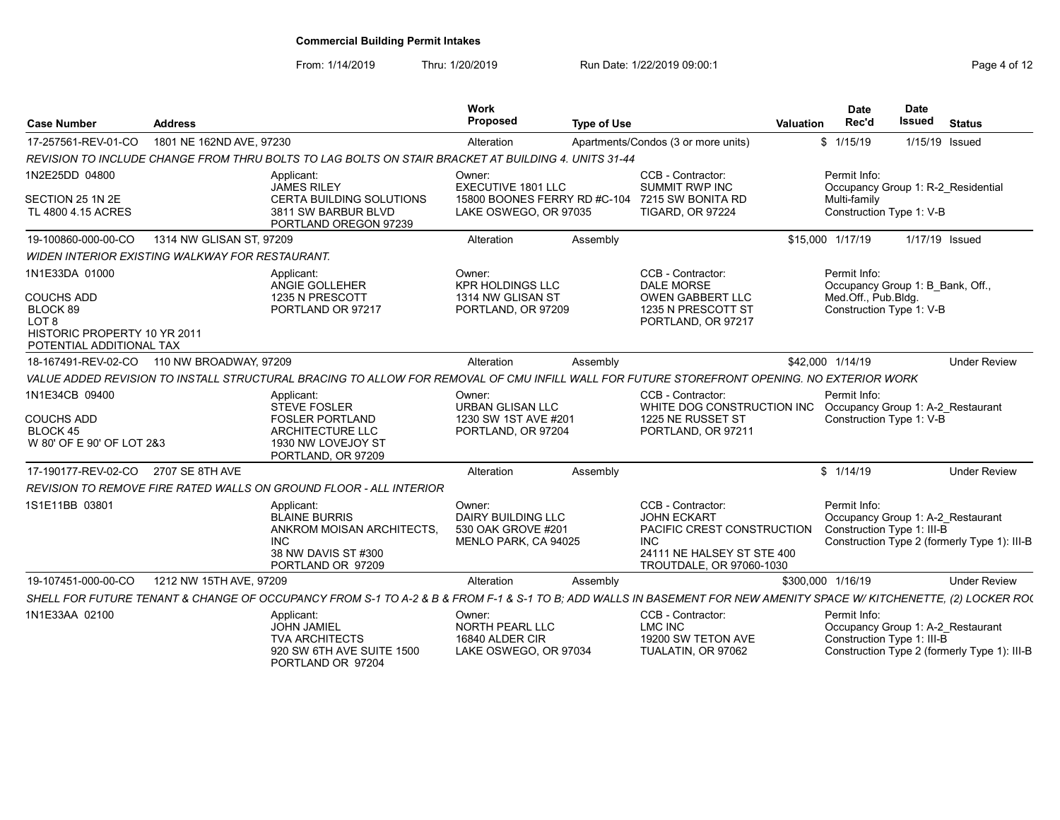| <b>Case Number</b>                                                                                                              | <b>Address</b>                                  |                                                                                                                                                                     | Work<br>Proposed                                                                             | <b>Type of Use</b> |                                                                                                                                               | <b>Valuation</b> | <b>Date</b><br>Rec'd                                                                                | <b>Date</b><br><b>Issued</b> | <b>Status</b>                                |
|---------------------------------------------------------------------------------------------------------------------------------|-------------------------------------------------|---------------------------------------------------------------------------------------------------------------------------------------------------------------------|----------------------------------------------------------------------------------------------|--------------------|-----------------------------------------------------------------------------------------------------------------------------------------------|------------------|-----------------------------------------------------------------------------------------------------|------------------------------|----------------------------------------------|
| 17-257561-REV-01-CO                                                                                                             | 1801 NE 162ND AVE, 97230                        |                                                                                                                                                                     | Alteration                                                                                   |                    | Apartments/Condos (3 or more units)                                                                                                           |                  | \$1/15/19                                                                                           | 1/15/19 Issued               |                                              |
|                                                                                                                                 |                                                 | REVISION TO INCLUDE CHANGE FROM THRU BOLTS TO LAG BOLTS ON STAIR BRACKET AT BUILDING 4. UNITS 31-44                                                                 |                                                                                              |                    |                                                                                                                                               |                  |                                                                                                     |                              |                                              |
| 1N2E25DD 04800<br>SECTION 25 1N 2E<br>TL 4800 4.15 ACRES                                                                        |                                                 | Applicant:<br><b>JAMES RILEY</b><br>CERTA BUILDING SOLUTIONS<br>3811 SW BARBUR BLVD                                                                                 | Owner:<br><b>EXECUTIVE 1801 LLC</b><br>15800 BOONES FERRY RD #C-104<br>LAKE OSWEGO, OR 97035 |                    | CCB - Contractor:<br>SUMMIT RWP INC<br>7215 SW BONITA RD<br><b>TIGARD, OR 97224</b>                                                           |                  | Permit Info:<br>Occupancy Group 1: R-2 Residential<br>Multi-family<br>Construction Type 1: V-B      |                              |                                              |
|                                                                                                                                 |                                                 | PORTLAND OREGON 97239                                                                                                                                               |                                                                                              |                    |                                                                                                                                               |                  |                                                                                                     |                              |                                              |
| 19-100860-000-00-CO                                                                                                             | 1314 NW GLISAN ST, 97209                        |                                                                                                                                                                     | Alteration                                                                                   | Assembly           |                                                                                                                                               |                  | \$15,000 1/17/19                                                                                    | 1/17/19 Issued               |                                              |
|                                                                                                                                 | WIDEN INTERIOR EXISTING WALKWAY FOR RESTAURANT. |                                                                                                                                                                     |                                                                                              |                    |                                                                                                                                               |                  |                                                                                                     |                              |                                              |
| 1N1E33DA 01000<br><b>COUCHS ADD</b><br>BLOCK 89<br>LOT <sub>8</sub><br>HISTORIC PROPERTY 10 YR 2011<br>POTENTIAL ADDITIONAL TAX |                                                 | Applicant:<br>ANGIE GOLLEHER<br>1235 N PRESCOTT<br>PORTLAND OR 97217                                                                                                | Owner:<br><b>KPR HOLDINGS LLC</b><br>1314 NW GLISAN ST<br>PORTLAND, OR 97209                 |                    | CCB - Contractor:<br><b>DALE MORSE</b><br><b>OWEN GABBERT LLC</b><br>1235 N PRESCOTT ST<br>PORTLAND, OR 97217                                 |                  | Permit Info:<br>Occupancy Group 1: B Bank, Off.,<br>Med.Off., Pub.Bldg.<br>Construction Type 1: V-B |                              |                                              |
| 18-167491-REV-02-CO                                                                                                             | 110 NW BROADWAY, 97209                          |                                                                                                                                                                     | Alteration                                                                                   | Assembly           |                                                                                                                                               |                  | \$42,000 1/14/19                                                                                    |                              | <b>Under Review</b>                          |
|                                                                                                                                 |                                                 | VALUE ADDED REVISION TO INSTALL STRUCTURAL BRACING TO ALLOW FOR REMOVAL OF CMU INFILL WALL FOR FUTURE STOREFRONT OPENING. NO EXTERIOR WORK                          |                                                                                              |                    |                                                                                                                                               |                  |                                                                                                     |                              |                                              |
| 1N1E34CB 09400<br><b>COUCHS ADD</b><br><b>BLOCK 45</b><br>W 80' OF E 90' OF LOT 2&3                                             |                                                 | Applicant:<br><b>STEVE FOSLER</b><br><b>FOSLER PORTLAND</b><br>ARCHITECTURE LLC<br>1930 NW LOVEJOY ST<br>PORTLAND, OR 97209                                         | Owner:<br><b>URBAN GLISAN LLC</b><br>1230 SW 1ST AVE #201<br>PORTLAND, OR 97204              |                    | CCB - Contractor:<br>WHITE DOG CONSTRUCTION INC Occupancy Group 1: A-2 Restaurant<br>1225 NE RUSSET ST<br>PORTLAND, OR 97211                  |                  | Permit Info:<br>Construction Type 1: V-B                                                            |                              |                                              |
| 17-190177-REV-02-CO 2707 SE 8TH AVE                                                                                             |                                                 |                                                                                                                                                                     | Alteration                                                                                   | Assembly           |                                                                                                                                               |                  | \$1/14/19                                                                                           |                              | <b>Under Review</b>                          |
|                                                                                                                                 |                                                 | <b>REVISION TO REMOVE FIRE RATED WALLS ON GROUND FLOOR - ALL INTERIOR</b>                                                                                           |                                                                                              |                    |                                                                                                                                               |                  |                                                                                                     |                              |                                              |
| 1S1E11BB 03801                                                                                                                  |                                                 | Applicant:<br><b>BLAINE BURRIS</b><br>ANKROM MOISAN ARCHITECTS.<br><b>INC</b><br>38 NW DAVIS ST #300<br>PORTLAND OR 97209                                           | Owner:<br>DAIRY BUILDING LLC<br>530 OAK GROVE #201<br>MENLO PARK, CA 94025                   |                    | CCB - Contractor:<br><b>JOHN ECKART</b><br>PACIFIC CREST CONSTRUCTION<br><b>INC</b><br>24111 NE HALSEY ST STE 400<br>TROUTDALE, OR 97060-1030 |                  | Permit Info:<br>Occupancy Group 1: A-2 Restaurant<br>Construction Type 1: III-B                     |                              | Construction Type 2 (formerly Type 1): III-B |
| 19-107451-000-00-CO                                                                                                             | 1212 NW 15TH AVE, 97209                         |                                                                                                                                                                     | Alteration                                                                                   | Assembly           |                                                                                                                                               |                  | \$300,000 1/16/19                                                                                   |                              | <b>Under Review</b>                          |
|                                                                                                                                 |                                                 | SHELL FOR FUTURE TENANT & CHANGE OF OCCUPANCY FROM S-1 TO A-2 & B & FROM F-1 & S-1 TO B; ADD WALLS IN BASEMENT FOR NEW AMENITY SPACE W/ KITCHENETTE, (2) LOCKER RO( |                                                                                              |                    |                                                                                                                                               |                  |                                                                                                     |                              |                                              |
| 1N1E33AA 02100                                                                                                                  |                                                 | Applicant:<br><b>JOHN JAMIEL</b><br><b>TVA ARCHITECTS</b><br>920 SW 6TH AVE SUITE 1500<br>PORTLAND OR 97204                                                         | Owner:<br><b>NORTH PEARL LLC</b><br>16840 ALDER CIR<br>LAKE OSWEGO, OR 97034                 |                    | CCB - Contractor:<br>LMC INC<br>19200 SW TETON AVE<br>TUALATIN, OR 97062                                                                      |                  | Permit Info:<br>Occupancy Group 1: A-2 Restaurant<br>Construction Type 1: III-B                     |                              | Construction Type 2 (formerly Type 1): III-B |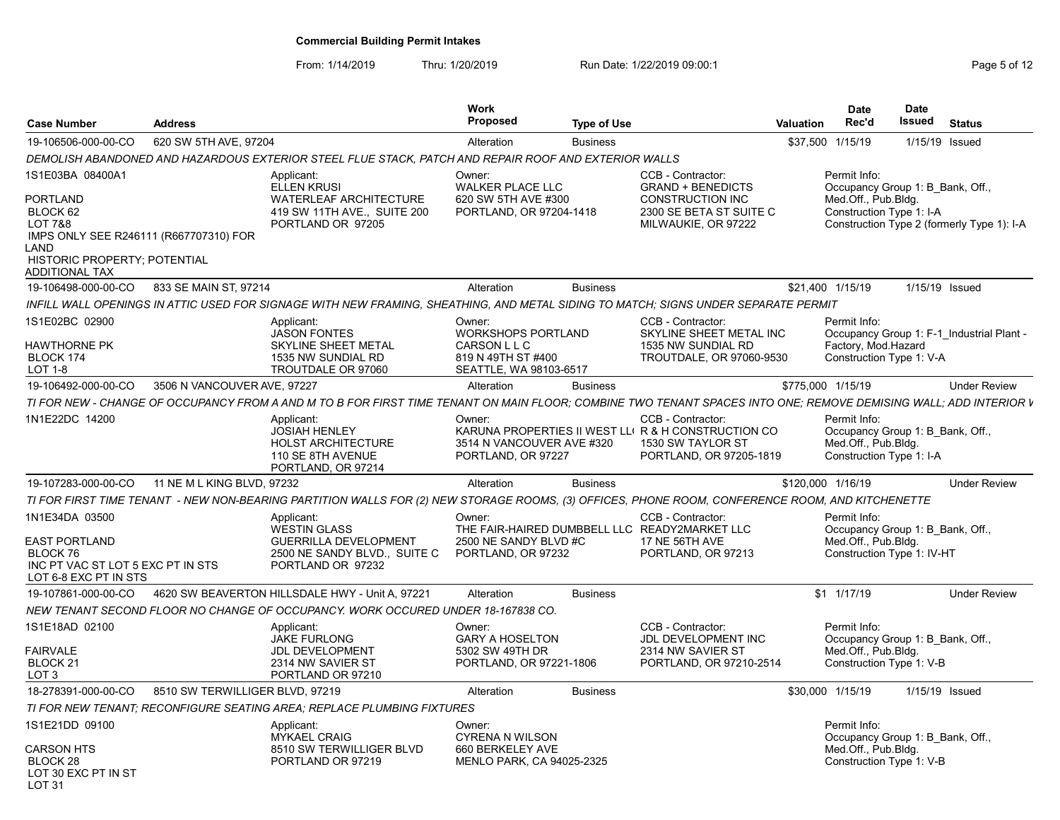| <b>Case Number</b>                                                                                                                         | <b>Address</b>                  |                                                                                                                                                                  | <b>Work</b><br>Proposed                                                                             | <b>Type of Use</b> |                                                                                                                          | Valuation | <b>Date</b><br>Rec'd                                                                                         | <b>Date</b><br>Issued | <b>Status</b>  |                     |
|--------------------------------------------------------------------------------------------------------------------------------------------|---------------------------------|------------------------------------------------------------------------------------------------------------------------------------------------------------------|-----------------------------------------------------------------------------------------------------|--------------------|--------------------------------------------------------------------------------------------------------------------------|-----------|--------------------------------------------------------------------------------------------------------------|-----------------------|----------------|---------------------|
| 19-106506-000-00-CO                                                                                                                        | 620 SW 5TH AVE, 97204           |                                                                                                                                                                  | Alteration                                                                                          | <b>Business</b>    |                                                                                                                          |           | \$37,500 1/15/19                                                                                             |                       | 1/15/19 Issued |                     |
|                                                                                                                                            |                                 | DEMOLISH ABANDONED AND HAZARDOUS EXTERIOR STEEL FLUE STACK, PATCH AND REPAIR ROOF AND EXTERIOR WALLS                                                             |                                                                                                     |                    |                                                                                                                          |           |                                                                                                              |                       |                |                     |
| 1S1E03BA 08400A1                                                                                                                           |                                 | Applicant:<br><b>ELLEN KRUSI</b>                                                                                                                                 | Owner:<br><b>WALKER PLACE LLC</b>                                                                   |                    | CCB - Contractor:<br><b>GRAND + BENEDICTS</b>                                                                            |           | Permit Info:<br>Occupancy Group 1: B Bank, Off.,                                                             |                       |                |                     |
| <b>PORTLAND</b><br>BLOCK 62<br><b>LOT 7&amp;8</b><br>IMPS ONLY SEE R246111 (R667707310) FOR<br>LAND<br><b>HISTORIC PROPERTY: POTENTIAL</b> |                                 | <b>WATERLEAF ARCHITECTURE</b><br>419 SW 11TH AVE SUITE 200<br>PORTLAND OR 97205                                                                                  | 620 SW 5TH AVE #300<br>PORTLAND, OR 97204-1418                                                      |                    | CONSTRUCTION INC<br>2300 SE BETA ST SUITE C<br>MILWAUKIE, OR 97222                                                       |           | Med.Off., Pub.Bldg.<br>Construction Type 1: I-A<br>Construction Type 2 (formerly Type 1): I-A                |                       |                |                     |
| <b>ADDITIONAL TAX</b>                                                                                                                      |                                 |                                                                                                                                                                  |                                                                                                     |                    |                                                                                                                          |           |                                                                                                              |                       |                |                     |
| 19-106498-000-00-CO                                                                                                                        | 833 SE MAIN ST. 97214           |                                                                                                                                                                  | Alteration                                                                                          | <b>Business</b>    |                                                                                                                          |           | \$21.400 1/15/19                                                                                             |                       | 1/15/19 Issued |                     |
|                                                                                                                                            |                                 | INFILL WALL OPENINGS IN ATTIC USED FOR SIGNAGE WITH NEW FRAMING, SHEATHING, AND METAL SIDING TO MATCH; SIGNS UNDER SEPARATE PERMIT                               |                                                                                                     |                    |                                                                                                                          |           |                                                                                                              |                       |                |                     |
| 1S1E02BC 02900<br><b>HAWTHORNE PK</b><br>BLOCK 174<br>LOT 1-8                                                                              |                                 | Applicant:<br><b>JASON FONTES</b><br><b>SKYLINE SHEET METAL</b><br>1535 NW SUNDIAL RD<br>TROUTDALE OR 97060                                                      | Owner:<br><b>WORKSHOPS PORTLAND</b><br>CARSON L L C<br>819 N 49TH ST #400<br>SEATTLE, WA 98103-6517 |                    | CCB - Contractor:<br>SKYLINE SHEET METAL INC<br>1535 NW SUNDIAL RD<br><b>TROUTDALE, OR 97060-9530</b>                    |           | Permit Info:<br>Occupancy Group 1: F-1 Industrial Plant -<br>Factory, Mod.Hazard<br>Construction Type 1: V-A |                       |                |                     |
| 19-106492-000-00-CO                                                                                                                        | 3506 N VANCOUVER AVE, 97227     |                                                                                                                                                                  | Alteration                                                                                          | <b>Business</b>    |                                                                                                                          |           | \$775,000 1/15/19                                                                                            |                       |                | <b>Under Review</b> |
|                                                                                                                                            |                                 | TI FOR NEW - CHANGE OF OCCUPANCY FROM A AND M TO B FOR FIRST TIME TENANT ON MAIN FLOOR; COMBINE TWO TENANT SPACES INTO ONE; REMOVE DEMISING WALL; ADD INTERIOR V |                                                                                                     |                    |                                                                                                                          |           |                                                                                                              |                       |                |                     |
| 1N1E22DC 14200                                                                                                                             |                                 | Applicant:<br><b>JOSIAH HENLEY</b><br><b>HOLST ARCHITECTURE</b><br>110 SE 8TH AVENUE<br>PORTLAND, OR 97214                                                       | Owner:<br>3514 N VANCOUVER AVE #320<br>PORTLAND, OR 97227                                           |                    | CCB - Contractor:<br>KARUNA PROPERTIES II WEST LLI R & H CONSTRUCTION CO<br>1530 SW TAYLOR ST<br>PORTLAND, OR 97205-1819 |           | Permit Info:<br>Occupancy Group 1: B_Bank, Off.,<br>Med.Off., Pub.Blda.<br>Construction Type 1: I-A          |                       |                |                     |
| 19-107283-000-00-CO                                                                                                                        | 11 NE M L KING BLVD, 97232      |                                                                                                                                                                  | Alteration                                                                                          | <b>Business</b>    |                                                                                                                          |           | \$120,000 1/16/19                                                                                            |                       |                | <b>Under Review</b> |
|                                                                                                                                            |                                 | TI FOR FIRST TIME TENANT - NEW NON-BEARING PARTITION WALLS FOR (2) NEW STORAGE ROOMS, (3) OFFICES, PHONE ROOM, CONFERENCE ROOM, AND KITCHENETTE                  |                                                                                                     |                    |                                                                                                                          |           |                                                                                                              |                       |                |                     |
| 1N1E34DA 03500<br><b>EAST PORTLAND</b><br>BLOCK 76<br>INC PT VAC ST LOT 5 EXC PT IN STS<br>LOT 6-8 EXC PT IN STS                           |                                 | Applicant:<br><b>WESTIN GLASS</b><br><b>GUERRILLA DEVELOPMENT</b><br>2500 NE SANDY BLVD., SUITE C<br>PORTLAND OR 97232                                           | Owner:<br>2500 NE SANDY BLVD #C<br>PORTLAND, OR 97232                                               |                    | CCB - Contractor:<br>THE FAIR-HAIRED DUMBBELL LLC READY2MARKET LLC<br><b>17 NE 56TH AVE</b><br>PORTLAND, OR 97213        |           | Permit Info:<br>Occupancy Group 1: B Bank, Off.,<br>Med.Off., Pub.Bldg.<br>Construction Type 1: IV-HT        |                       |                |                     |
| 19-107861-000-00-CO                                                                                                                        |                                 | 4620 SW BEAVERTON HILLSDALE HWY - Unit A, 97221                                                                                                                  | Alteration                                                                                          | <b>Business</b>    |                                                                                                                          |           | \$1 1/17/19                                                                                                  |                       |                | <b>Under Review</b> |
|                                                                                                                                            |                                 | NEW TENANT SECOND FLOOR NO CHANGE OF OCCUPANCY. WORK OCCURED UNDER 18-167838 CO.                                                                                 |                                                                                                     |                    |                                                                                                                          |           |                                                                                                              |                       |                |                     |
| 1S1E18AD 02100<br><b>FAIRVALE</b><br>BLOCK <sub>21</sub><br>LOT <sub>3</sub>                                                               |                                 | Applicant:<br>JAKE FURLONG<br><b>JDL DEVELOPMENT</b><br>2314 NW SAVIER ST<br>PORTLAND OR 97210                                                                   | Owner:<br><b>GARY A HOSELTON</b><br>5302 SW 49TH DR<br>PORTLAND, OR 97221-1806                      |                    | CCB - Contractor:<br>JDL DEVELOPMENT INC<br>2314 NW SAVIER ST<br>PORTLAND, OR 97210-2514                                 |           | Permit Info:<br>Occupancy Group 1: B Bank, Off.,<br>Med.Off., Pub.Bldg.<br>Construction Type 1: V-B          |                       |                |                     |
| 18-278391-000-00-CO                                                                                                                        | 8510 SW TERWILLIGER BLVD, 97219 |                                                                                                                                                                  | Alteration                                                                                          | <b>Business</b>    |                                                                                                                          |           | \$30,000 1/15/19                                                                                             |                       | 1/15/19 Issued |                     |
|                                                                                                                                            |                                 |                                                                                                                                                                  |                                                                                                     |                    |                                                                                                                          |           |                                                                                                              |                       |                |                     |
|                                                                                                                                            |                                 | TI FOR NEW TENANT: RECONFIGURE SEATING AREA: REPLACE PLUMBING FIXTURES                                                                                           |                                                                                                     |                    |                                                                                                                          |           |                                                                                                              |                       |                |                     |
| 1S1E21DD 09100<br><b>CARSON HTS</b><br>BLOCK 28<br>LOT 30 EXC PT IN ST<br>LOT <sub>31</sub>                                                |                                 | Applicant:<br><b>MYKAEL CRAIG</b><br>8510 SW TERWILLIGER BLVD<br>PORTLAND OR 97219                                                                               | Owner:<br>CYRENA N WILSON<br>660 BERKELEY AVE<br>MENLO PARK, CA 94025-2325                          |                    |                                                                                                                          |           | Permit Info:<br>Occupancy Group 1: B Bank, Off.,<br>Med.Off., Pub.Bldg.<br>Construction Type 1: V-B          |                       |                |                     |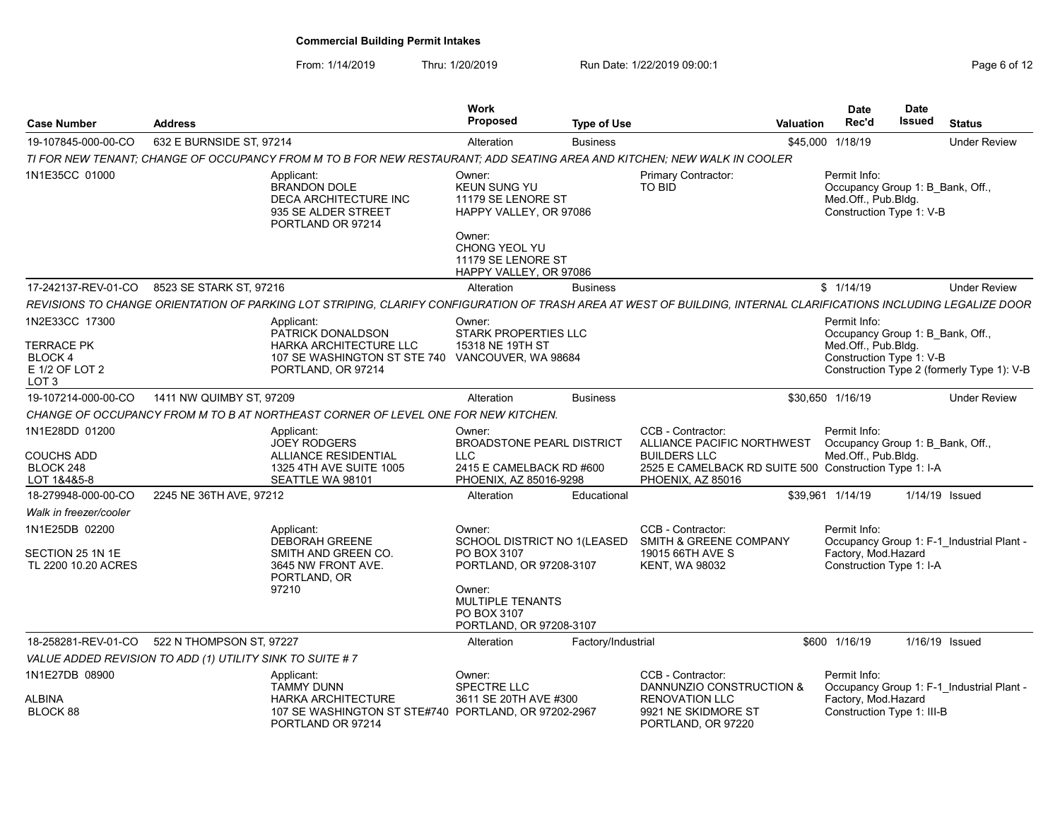| <b>Case Number</b>                                                                         | <b>Address</b>                                            |                                                                                                                                                                   | <b>Work</b><br><b>Proposed</b>                                                                          | <b>Type of Use</b> |                                                                                                                                                       | Valuation | <b>Date</b><br>Rec'd                                                                                | <b>Date</b><br><b>Issued</b> | <b>Status</b>                              |
|--------------------------------------------------------------------------------------------|-----------------------------------------------------------|-------------------------------------------------------------------------------------------------------------------------------------------------------------------|---------------------------------------------------------------------------------------------------------|--------------------|-------------------------------------------------------------------------------------------------------------------------------------------------------|-----------|-----------------------------------------------------------------------------------------------------|------------------------------|--------------------------------------------|
| 19-107845-000-00-CO                                                                        | 632 E BURNSIDE ST, 97214                                  |                                                                                                                                                                   | Alteration                                                                                              | <b>Business</b>    |                                                                                                                                                       |           | \$45,000 1/18/19                                                                                    |                              | <b>Under Review</b>                        |
|                                                                                            |                                                           | TI FOR NEW TENANT: CHANGE OF OCCUPANCY FROM M TO B FOR NEW RESTAURANT: ADD SEATING AREA AND KITCHEN: NEW WALK IN COOLER                                           |                                                                                                         |                    |                                                                                                                                                       |           |                                                                                                     |                              |                                            |
| 1N1E35CC 01000                                                                             |                                                           | Applicant:<br><b>BRANDON DOLE</b><br>DECA ARCHITECTURE INC<br>935 SE ALDER STREET<br>PORTLAND OR 97214                                                            | Owner:<br>KEUN SUNG YU<br>11179 SE LENORE ST<br>HAPPY VALLEY, OR 97086<br>Owner:                        |                    | <b>Primary Contractor:</b><br>TO BID                                                                                                                  |           | Permit Info:<br>Occupancy Group 1: B Bank, Off.,<br>Med.Off., Pub.Bldg.<br>Construction Type 1: V-B |                              |                                            |
|                                                                                            |                                                           |                                                                                                                                                                   | CHONG YEOL YU<br>11179 SE LENORE ST<br>HAPPY VALLEY, OR 97086                                           |                    |                                                                                                                                                       |           |                                                                                                     |                              |                                            |
| 17-242137-REV-01-CO                                                                        | 8523 SE STARK ST, 97216                                   |                                                                                                                                                                   | Alteration                                                                                              | <b>Business</b>    |                                                                                                                                                       |           | \$1/14/19                                                                                           |                              | <b>Under Review</b>                        |
|                                                                                            |                                                           | REVISIONS TO CHANGE ORIENTATION OF PARKING LOT STRIPING, CLARIFY CONFIGURATION OF TRASH AREA AT WEST OF BUILDING, INTERNAL CLARIFICATIONS INCLUDING LEGALIZE DOOR |                                                                                                         |                    |                                                                                                                                                       |           |                                                                                                     |                              |                                            |
| 1N2E33CC 17300<br><b>TERRACE PK</b><br><b>BLOCK4</b><br>E 1/2 OF LOT 2<br>LOT <sub>3</sub> |                                                           | Applicant:<br>PATRICK DONALDSON<br><b>HARKA ARCHITECTURE LLC</b><br>107 SE WASHINGTON ST STE 740 VANCOUVER, WA 98684<br>PORTLAND, OR 97214                        | Owner:<br>STARK PROPERTIES LLC<br>15318 NE 19TH ST                                                      |                    |                                                                                                                                                       |           | Permit Info:<br>Occupancy Group 1: B_Bank, Off.,<br>Med.Off., Pub.Bldg.<br>Construction Type 1: V-B |                              | Construction Type 2 (formerly Type 1): V-B |
| 19-107214-000-00-CO                                                                        | 1411 NW QUIMBY ST. 97209                                  |                                                                                                                                                                   | Alteration                                                                                              | <b>Business</b>    |                                                                                                                                                       |           | \$30,650 1/16/19                                                                                    |                              | <b>Under Review</b>                        |
|                                                                                            |                                                           | CHANGE OF OCCUPANCY FROM M TO B AT NORTHEAST CORNER OF LEVEL ONE FOR NEW KITCHEN.                                                                                 |                                                                                                         |                    |                                                                                                                                                       |           |                                                                                                     |                              |                                            |
| 1N1E28DD 01200<br><b>COUCHS ADD</b><br>BLOCK 248<br>LOT 1&4&5-8                            |                                                           | Applicant:<br><b>JOEY RODGERS</b><br><b>ALLIANCE RESIDENTIAL</b><br>1325 4TH AVE SUITE 1005<br>SEATTLE WA 98101                                                   | Owner:<br><b>BROADSTONE PEARL DISTRICT</b><br>LLC<br>2415 E CAMELBACK RD #600<br>PHOENIX, AZ 85016-9298 |                    | CCB - Contractor:<br>ALLIANCE PACIFIC NORTHWEST<br><b>BUILDERS LLC</b><br>2525 E CAMELBACK RD SUITE 500 Construction Type 1: I-A<br>PHOENIX, AZ 85016 |           | Permit Info:<br>Occupancy Group 1: B Bank, Off.,<br>Med.Off., Pub.Bldg.                             |                              |                                            |
| 18-279948-000-00-CO                                                                        | 2245 NE 36TH AVE, 97212                                   |                                                                                                                                                                   | Alteration                                                                                              | Educational        |                                                                                                                                                       |           | \$39.961 1/14/19                                                                                    |                              | 1/14/19 Issued                             |
| Walk in freezer/cooler                                                                     |                                                           |                                                                                                                                                                   |                                                                                                         |                    |                                                                                                                                                       |           |                                                                                                     |                              |                                            |
| 1N1E25DB 02200<br>SECTION 25 1N 1E                                                         |                                                           | Applicant:<br><b>DEBORAH GREENE</b><br>SMITH AND GREEN CO.                                                                                                        | Owner:<br>SCHOOL DISTRICT NO 1(LEASED<br>PO BOX 3107                                                    |                    | CCB - Contractor:<br>SMITH & GREENE COMPANY<br>19015 66TH AVE S                                                                                       |           | Permit Info:<br>Factory, Mod Hazard                                                                 |                              | Occupancy Group 1: F-1_Industrial Plant -  |
| TL 2200 10.20 ACRES                                                                        |                                                           | 3645 NW FRONT AVE.<br>PORTLAND, OR<br>97210                                                                                                                       | PORTLAND, OR 97208-3107<br>Owner:<br><b>MULTIPLE TENANTS</b><br>PO BOX 3107<br>PORTLAND, OR 97208-3107  |                    | <b>KENT, WA 98032</b>                                                                                                                                 |           | Construction Type 1: I-A                                                                            |                              |                                            |
| 18-258281-REV-01-CO                                                                        | 522 N THOMPSON ST. 97227                                  |                                                                                                                                                                   | Alteration                                                                                              | Factory/Industrial |                                                                                                                                                       |           | \$600 1/16/19                                                                                       |                              | 1/16/19 Issued                             |
|                                                                                            | VALUE ADDED REVISION TO ADD (1) UTILITY SINK TO SUITE # 7 |                                                                                                                                                                   |                                                                                                         |                    |                                                                                                                                                       |           |                                                                                                     |                              |                                            |
| 1N1E27DB 08900                                                                             |                                                           | Applicant:<br><b>TAMMY DUNN</b>                                                                                                                                   | Owner:<br>SPECTRE LLC                                                                                   |                    | CCB - Contractor:<br>DANNUNZIO CONSTRUCTION &                                                                                                         |           | Permit Info:                                                                                        |                              | Occupancy Group 1: F-1 Industrial Plant -  |
| <b>ALBINA</b><br>BLOCK 88                                                                  |                                                           | <b>HARKA ARCHITECTURE</b><br>107 SE WASHINGTON ST STE#740 PORTLAND, OR 97202-2967<br>PORTLAND OR 97214                                                            | 3611 SE 20TH AVE #300                                                                                   |                    | <b>RENOVATION LLC</b><br>9921 NE SKIDMORE ST<br>PORTLAND, OR 97220                                                                                    |           | Factory, Mod.Hazard<br>Construction Type 1: III-B                                                   |                              |                                            |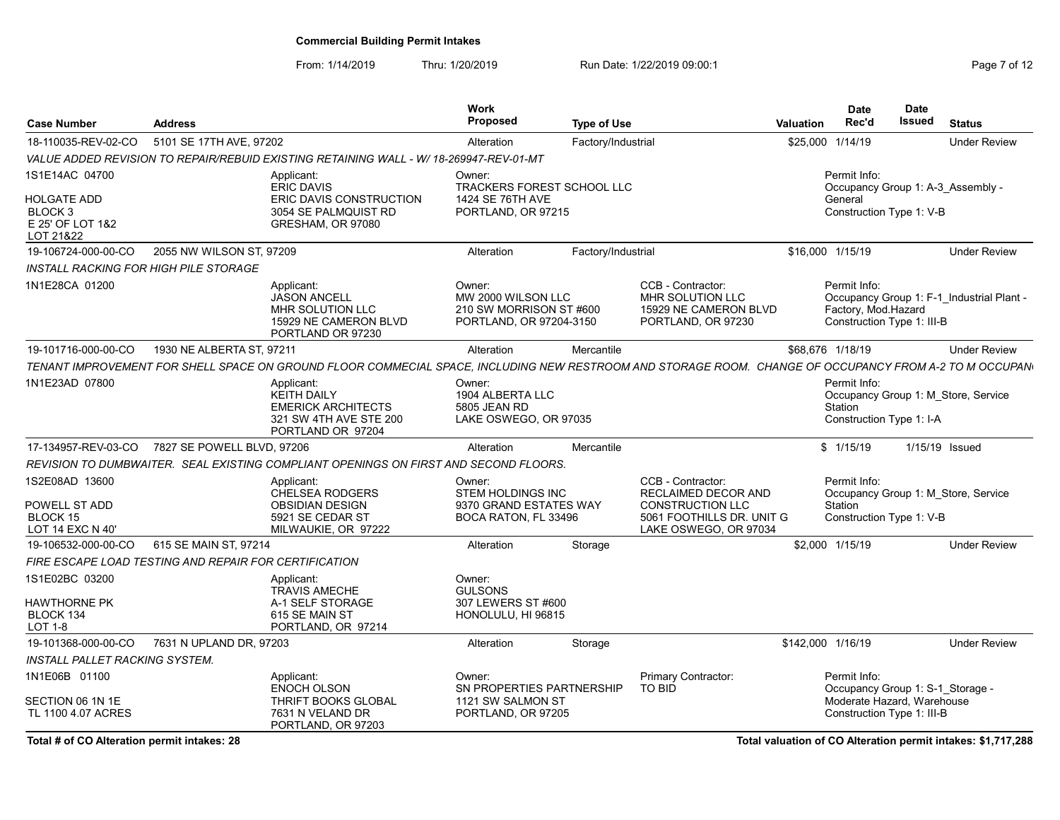From: 1/14/2019 Thru: 1/20/2019 Run Date: 1/22/2019 09:00:1<br>
Run Date: 1/22/2019 09:00:1

| <b>Case Number</b>                                                 | <b>Address</b>             |                                                                                                                                                         | Work<br><b>Proposed</b>                                                            | <b>Type of Use</b> |                                                                                      | Valuation | <b>Date</b><br>Rec'd                                              | <b>Date</b><br><b>Issued</b> | <b>Status</b>                             |
|--------------------------------------------------------------------|----------------------------|---------------------------------------------------------------------------------------------------------------------------------------------------------|------------------------------------------------------------------------------------|--------------------|--------------------------------------------------------------------------------------|-----------|-------------------------------------------------------------------|------------------------------|-------------------------------------------|
| 18-110035-REV-02-CO                                                | 5101 SE 17TH AVE, 97202    |                                                                                                                                                         | Alteration                                                                         | Factory/Industrial |                                                                                      |           | \$25,000 1/14/19                                                  |                              | <b>Under Review</b>                       |
|                                                                    |                            | VALUE ADDED REVISION TO REPAIR/REBUID EXISTING RETAINING WALL - W/ 18-269947-REV-01-MT                                                                  |                                                                                    |                    |                                                                                      |           |                                                                   |                              |                                           |
| 1S1E14AC 04700                                                     |                            | Applicant:<br><b>ERIC DAVIS</b>                                                                                                                         | Owner:<br>TRACKERS FOREST SCHOOL LLC                                               |                    |                                                                                      |           | Permit Info:                                                      |                              | Occupancy Group 1: A-3 Assembly -         |
| HOLGATE ADD<br>BLOCK <sub>3</sub><br>E 25' OF LOT 1&2<br>LOT 21&22 |                            | ERIC DAVIS CONSTRUCTION<br>3054 SE PALMQUIST RD<br>GRESHAM, OR 97080                                                                                    | 1424 SE 76TH AVE<br>PORTLAND, OR 97215                                             |                    |                                                                                      |           | General<br>Construction Type 1: V-B                               |                              |                                           |
| 19-106724-000-00-CO                                                | 2055 NW WILSON ST, 97209   |                                                                                                                                                         | Alteration                                                                         | Factory/Industrial |                                                                                      |           | \$16,000 1/15/19                                                  |                              | <b>Under Review</b>                       |
| <b>INSTALL RACKING FOR HIGH PILE STORAGE</b>                       |                            |                                                                                                                                                         |                                                                                    |                    |                                                                                      |           |                                                                   |                              |                                           |
| 1N1E28CA 01200                                                     |                            | Applicant:<br><b>JASON ANCELL</b><br>MHR SOLUTION LLC<br>15929 NE CAMERON BLVD<br>PORTLAND OR 97230                                                     | Owner:<br>MW 2000 WILSON LLC<br>210 SW MORRISON ST #600<br>PORTLAND, OR 97204-3150 |                    | CCB - Contractor:<br>MHR SOLUTION LLC<br>15929 NE CAMERON BLVD<br>PORTLAND, OR 97230 |           | Permit Info:<br>Factory, Mod.Hazard<br>Construction Type 1: III-B |                              | Occupancy Group 1: F-1 Industrial Plant - |
| 19-101716-000-00-CO                                                | 1930 NE ALBERTA ST. 97211  |                                                                                                                                                         | Alteration                                                                         | Mercantile         |                                                                                      |           | \$68,676 1/18/19                                                  |                              | <b>Under Review</b>                       |
|                                                                    |                            | TENANT IMPROVEMENT FOR SHELL SPACE ON GROUND FLOOR COMMECIAL SPACE, INCLUDING NEW RESTROOM AND STORAGE ROOM. CHANGE OF OCCUPANCY FROM A-2 TO M OCCUPANN |                                                                                    |                    |                                                                                      |           |                                                                   |                              |                                           |
| 1N1E23AD 07800                                                     |                            | Applicant:<br><b>KEITH DAILY</b><br><b>EMERICK ARCHITECTS</b><br>321 SW 4TH AVE STE 200<br>PORTLAND OR 97204                                            | Owner:<br>1904 ALBERTA LLC<br>5805 JEAN RD<br>LAKE OSWEGO, OR 97035                |                    |                                                                                      |           | Permit Info:<br>Station<br>Construction Type 1: I-A               |                              | Occupancy Group 1: M Store, Service       |
| 17-134957-REV-03-CO                                                | 7827 SE POWELL BLVD, 97206 |                                                                                                                                                         | Alteration                                                                         | Mercantile         |                                                                                      |           | \$1/15/19                                                         |                              | 1/15/19 Issued                            |
|                                                                    |                            | REVISION TO DUMBWAITER. SEAL EXISTING COMPLIANT OPENINGS ON FIRST AND SECOND FLOORS.                                                                    |                                                                                    |                    |                                                                                      |           |                                                                   |                              |                                           |
| 1S2E08AD 13600<br>POWELL ST ADD                                    |                            | Applicant:<br><b>CHELSEA RODGERS</b><br><b>OBSIDIAN DESIGN</b>                                                                                          | Owner:<br><b>STEM HOLDINGS INC</b><br>9370 GRAND ESTATES WAY                       |                    | CCB - Contractor:<br><b>RECLAIMED DECOR AND</b><br><b>CONSTRUCTION LLC</b>           |           | Permit Info:<br>Station                                           |                              | Occupancy Group 1: M Store, Service       |
| <b>BLOCK 15</b><br>LOT 14 EXC N 40'                                |                            | 5921 SE CEDAR ST<br>MILWAUKIE, OR 97222                                                                                                                 | BOCA RATON, FL 33496                                                               |                    | 5061 FOOTHILLS DR. UNIT G<br>LAKE OSWEGO, OR 97034                                   |           | Construction Type 1: V-B                                          |                              |                                           |
| 19-106532-000-00-CO                                                | 615 SE MAIN ST. 97214      |                                                                                                                                                         | Alteration                                                                         | Storage            |                                                                                      |           | \$2,000 1/15/19                                                   |                              | <b>Under Review</b>                       |
| FIRE ESCAPE LOAD TESTING AND REPAIR FOR CERTIFICATION              |                            |                                                                                                                                                         |                                                                                    |                    |                                                                                      |           |                                                                   |                              |                                           |
| 1S1E02BC 03200                                                     |                            | Applicant:                                                                                                                                              | Owner:                                                                             |                    |                                                                                      |           |                                                                   |                              |                                           |
| <b>HAWTHORNE PK</b><br>BLOCK 134<br><b>LOT 1-8</b>                 |                            | <b>TRAVIS AMECHE</b><br>A-1 SELF STORAGE<br>615 SE MAIN ST<br>PORTLAND, OR 97214                                                                        | <b>GULSONS</b><br>307 LEWERS ST #600<br>HONOLULU, HI 96815                         |                    |                                                                                      |           |                                                                   |                              |                                           |
| 19-101368-000-00-CO                                                | 7631 N UPLAND DR. 97203    |                                                                                                                                                         | Alteration                                                                         | Storage            |                                                                                      |           | \$142,000 1/16/19                                                 |                              | <b>Under Review</b>                       |
| <b>INSTALL PALLET RACKING SYSTEM.</b>                              |                            |                                                                                                                                                         |                                                                                    |                    |                                                                                      |           |                                                                   |                              |                                           |
| 1N1E06B 01100                                                      |                            | Applicant:<br><b>ENOCH OLSON</b>                                                                                                                        | Owner:<br>SN PROPERTIES PARTNERSHIP                                                |                    | <b>Primary Contractor:</b><br>TO BID                                                 |           | Permit Info:<br>Occupancy Group 1: S-1 Storage -                  |                              |                                           |
| SECTION 06 1N 1E<br>TL 1100 4.07 ACRES                             |                            | <b>THRIFT BOOKS GLOBAL</b><br>7631 N VELAND DR<br>PORTLAND, OR 97203                                                                                    | 1121 SW SALMON ST<br>PORTLAND, OR 97205                                            |                    |                                                                                      |           | Moderate Hazard. Warehouse<br>Construction Type 1: III-B          |                              |                                           |

Total # of CO Alteration permit intakes: 28 Total valuation of CO Alteration permit intakes: \$1,717,288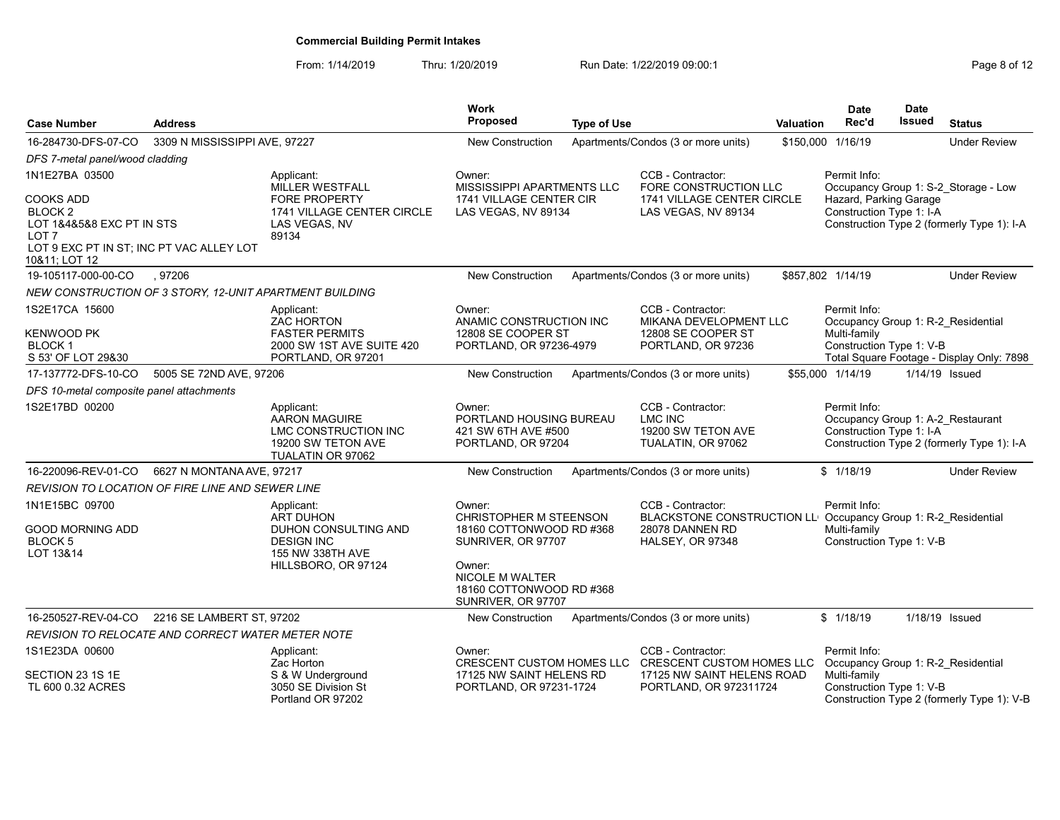| <b>Case Number</b>                                                                                                                            | <b>Address</b>                                          |                                                                                                       | Work<br><b>Proposed</b>                                                                   | <b>Type of Use</b> |                                                                                                                           | Valuation | <b>Date</b><br>Rec'd                                                          | <b>Date</b><br>Issued | <b>Status</b>                              |
|-----------------------------------------------------------------------------------------------------------------------------------------------|---------------------------------------------------------|-------------------------------------------------------------------------------------------------------|-------------------------------------------------------------------------------------------|--------------------|---------------------------------------------------------------------------------------------------------------------------|-----------|-------------------------------------------------------------------------------|-----------------------|--------------------------------------------|
| 16-284730-DFS-07-CO                                                                                                                           | 3309 N MISSISSIPPI AVE, 97227                           |                                                                                                       | <b>New Construction</b>                                                                   |                    | Apartments/Condos (3 or more units)                                                                                       |           | \$150,000 1/16/19                                                             |                       | <b>Under Review</b>                        |
| DFS 7-metal panel/wood cladding                                                                                                               |                                                         |                                                                                                       |                                                                                           |                    |                                                                                                                           |           |                                                                               |                       |                                            |
| 1N1E27BA 03500                                                                                                                                |                                                         | Applicant:<br><b>MILLER WESTFALL</b>                                                                  | Owner:<br>MISSISSIPPI APARTMENTS LLC                                                      |                    | CCB - Contractor:<br>FORE CONSTRUCTION LLC                                                                                |           | Permit Info:                                                                  |                       | Occupancy Group 1: S-2 Storage - Low       |
| COOKS ADD<br>BLOCK <sub>2</sub><br>LOT 1&4&5&8 EXC PT IN STS<br>LOT <sub>7</sub><br>LOT 9 EXC PT IN ST; INC PT VAC ALLEY LOT<br>10&11; LOT 12 |                                                         | <b>FORE PROPERTY</b><br><b>1741 VILLAGE CENTER CIRCLE</b><br>LAS VEGAS, NV<br>89134                   | 1741 VILLAGE CENTER CIR<br>LAS VEGAS, NV 89134                                            |                    | <b>1741 VILLAGE CENTER CIRCLE</b><br>LAS VEGAS, NV 89134                                                                  |           | Hazard, Parking Garage<br>Construction Type 1: I-A                            |                       | Construction Type 2 (formerly Type 1): I-A |
| 19-105117-000-00-CO                                                                                                                           | .97206                                                  |                                                                                                       | <b>New Construction</b>                                                                   |                    | Apartments/Condos (3 or more units)                                                                                       |           | \$857,802 1/14/19                                                             |                       | <b>Under Review</b>                        |
|                                                                                                                                               | NEW CONSTRUCTION OF 3 STORY, 12-UNIT APARTMENT BUILDING |                                                                                                       |                                                                                           |                    |                                                                                                                           |           |                                                                               |                       |                                            |
| 1S2E17CA 15600<br><b>KENWOOD PK</b>                                                                                                           |                                                         | Applicant:<br>ZAC HORTON<br><b>FASTER PERMITS</b>                                                     | Owner:<br>ANAMIC CONSTRUCTION INC<br>12808 SE COOPER ST                                   |                    | CCB - Contractor:<br>MIKANA DEVELOPMENT LLC<br>12808 SE COOPER ST                                                         |           | Permit Info:<br>Occupancy Group 1: R-2 Residential<br>Multi-family            |                       |                                            |
| <b>BLOCK1</b><br>S 53' OF LOT 29&30                                                                                                           |                                                         | 2000 SW 1ST AVE SUITE 420<br>PORTLAND, OR 97201                                                       | PORTLAND, OR 97236-4979                                                                   |                    | PORTLAND, OR 97236                                                                                                        |           | Construction Type 1: V-B                                                      |                       | Total Square Footage - Display Only: 7898  |
| 17-137772-DFS-10-CO                                                                                                                           | 5005 SE 72ND AVE, 97206                                 |                                                                                                       | <b>New Construction</b>                                                                   |                    | Apartments/Condos (3 or more units)                                                                                       |           | \$55,000 1/14/19                                                              |                       | 1/14/19 Issued                             |
| DFS 10-metal composite panel attachments                                                                                                      |                                                         |                                                                                                       |                                                                                           |                    |                                                                                                                           |           |                                                                               |                       |                                            |
| 1S2E17BD 00200                                                                                                                                |                                                         | Applicant:<br>AARON MAGUIRE<br><b>LMC CONSTRUCTION INC</b><br>19200 SW TETON AVE<br>TUALATIN OR 97062 | Owner:<br>PORTLAND HOUSING BUREAU<br>421 SW 6TH AVE #500<br>PORTLAND, OR 97204            |                    | CCB - Contractor:<br>LMC INC<br>19200 SW TETON AVE<br>TUALATIN, OR 97062                                                  |           | Permit Info:<br>Occupancy Group 1: A-2_Restaurant<br>Construction Type 1: I-A |                       | Construction Type 2 (formerly Type 1): I-A |
| 16-220096-REV-01-CO                                                                                                                           | 6627 N MONTANA AVE, 97217                               |                                                                                                       | <b>New Construction</b>                                                                   |                    | Apartments/Condos (3 or more units)                                                                                       |           | \$1/18/19                                                                     |                       | <b>Under Review</b>                        |
|                                                                                                                                               | REVISION TO LOCATION OF FIRE LINE AND SEWER LINE        |                                                                                                       |                                                                                           |                    |                                                                                                                           |           |                                                                               |                       |                                            |
| 1N1E15BC 09700<br><b>GOOD MORNING ADD</b><br><b>BLOCK5</b>                                                                                    |                                                         | Applicant:<br><b>ART DUHON</b><br><b>DUHON CONSULTING AND</b><br><b>DESIGN INC</b>                    | Owner:<br><b>CHRISTOPHER M STEENSON</b><br>18160 COTTONWOOD RD #368<br>SUNRIVER, OR 97707 |                    | CCB - Contractor:<br>BLACKSTONE CONSTRUCTION LL Occupancy Group 1: R-2_Residential<br>28078 DANNEN RD<br>HALSEY, OR 97348 |           | Permit Info:<br>Multi-family<br>Construction Type 1: V-B                      |                       |                                            |
| LOT 13&14                                                                                                                                     |                                                         | 155 NW 338TH AVE<br>HILLSBORO, OR 97124                                                               | Owner:<br>NICOLE M WALTER<br>18160 COTTONWOOD RD #368<br>SUNRIVER, OR 97707               |                    |                                                                                                                           |           |                                                                               |                       |                                            |
| 16-250527-REV-04-CO                                                                                                                           | 2216 SE LAMBERT ST, 97202                               |                                                                                                       | <b>New Construction</b>                                                                   |                    | Apartments/Condos (3 or more units)                                                                                       |           | \$1/18/19                                                                     |                       | 1/18/19 Issued                             |
|                                                                                                                                               | REVISION TO RELOCATE AND CORRECT WATER METER NOTE       |                                                                                                       |                                                                                           |                    |                                                                                                                           |           |                                                                               |                       |                                            |
| 1S1E23DA 00600                                                                                                                                |                                                         | Applicant:<br>Zac Horton                                                                              | Owner:<br><b>CRESCENT CUSTOM HOMES LLC</b>                                                |                    | CCB - Contractor:<br><b>CRESCENT CUSTOM HOMES LLC</b>                                                                     |           | Permit Info:<br>Occupancy Group 1: R-2 Residential                            |                       |                                            |
| SECTION 23 1S 1E<br>TL 600 0.32 ACRES                                                                                                         |                                                         | S & W Underground<br>3050 SE Division St<br>Portland OR 97202                                         | 17125 NW SAINT HELENS RD<br>PORTLAND, OR 97231-1724                                       |                    | 17125 NW SAINT HELENS ROAD<br>PORTLAND, OR 972311724                                                                      |           | Multi-family<br>Construction Type 1: V-B                                      |                       | Construction Type 2 (formerly Type 1): V-B |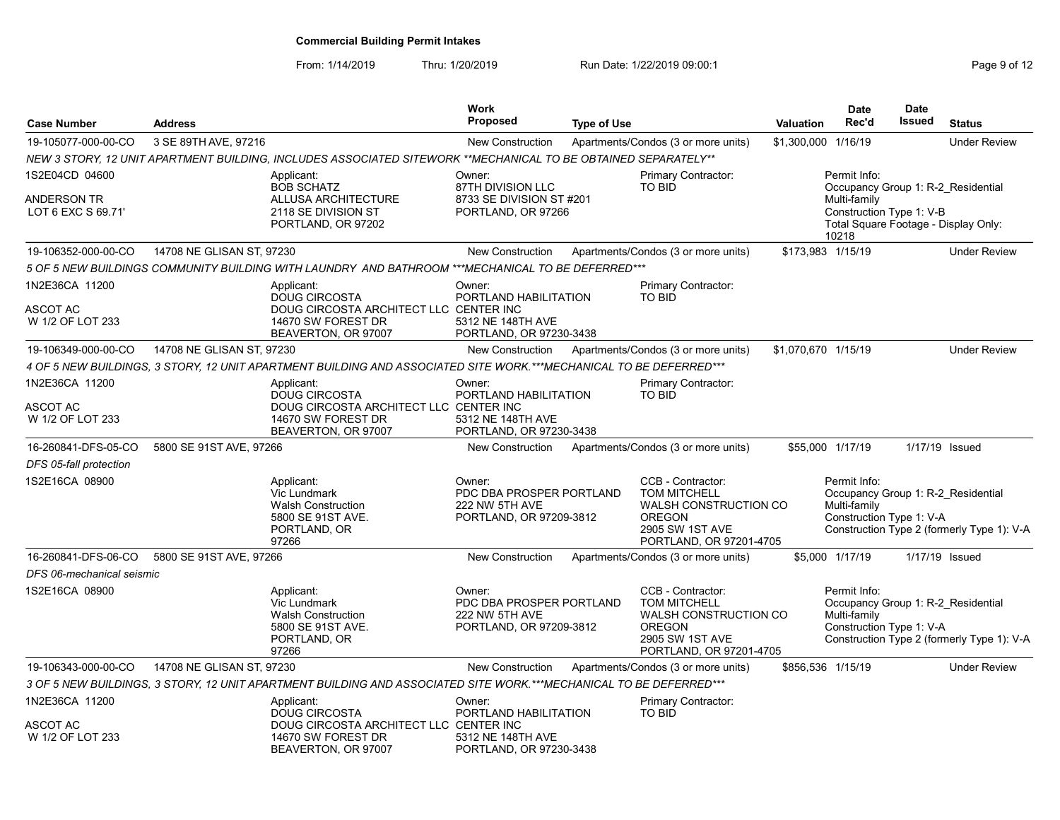|                                                     |                           |                                                                                                                           | <b>Work</b>                                                                     |                    |                                                                                                                                         |                     | Date                                                                                                                                            | <b>Date</b> |                                            |
|-----------------------------------------------------|---------------------------|---------------------------------------------------------------------------------------------------------------------------|---------------------------------------------------------------------------------|--------------------|-----------------------------------------------------------------------------------------------------------------------------------------|---------------------|-------------------------------------------------------------------------------------------------------------------------------------------------|-------------|--------------------------------------------|
| <b>Case Number</b>                                  | <b>Address</b>            |                                                                                                                           | <b>Proposed</b>                                                                 | <b>Type of Use</b> |                                                                                                                                         | Valuation           | Rec'd                                                                                                                                           | Issued      | <b>Status</b>                              |
| 19-105077-000-00-CO                                 | 3 SE 89TH AVE, 97216      |                                                                                                                           | New Construction                                                                |                    | Apartments/Condos (3 or more units)                                                                                                     | \$1,300,000 1/16/19 |                                                                                                                                                 |             | <b>Under Review</b>                        |
|                                                     |                           | NEW 3 STORY, 12 UNIT APARTMENT BUILDING, INCLUDES ASSOCIATED SITEWORK **MECHANICAL TO BE OBTAINED SEPARATELY**            |                                                                                 |                    |                                                                                                                                         |                     |                                                                                                                                                 |             |                                            |
| 1S2E04CD 04600<br>ANDERSON TR<br>LOT 6 EXC S 69.71' |                           | Applicant:<br><b>BOB SCHATZ</b><br>ALLUSA ARCHITECTURE<br>2118 SE DIVISION ST<br>PORTLAND, OR 97202                       | Owner:<br>87TH DIVISION LLC<br>8733 SE DIVISION ST #201<br>PORTLAND, OR 97266   |                    | Primary Contractor:<br>TO BID                                                                                                           |                     | Permit Info:<br>Occupancy Group 1: R-2 Residential<br>Multi-family<br>Construction Type 1: V-B<br>Total Square Footage - Display Only:<br>10218 |             |                                            |
| 19-106352-000-00-CO                                 | 14708 NE GLISAN ST, 97230 |                                                                                                                           | <b>New Construction</b>                                                         |                    | Apartments/Condos (3 or more units)                                                                                                     |                     | \$173,983 1/15/19                                                                                                                               |             | <b>Under Review</b>                        |
|                                                     |                           | 5 OF 5 NEW BUILDINGS COMMUNITY BUILDING WITH LAUNDRY AND BATHROOM ***MECHANICAL TO BE DEFERRED***                         |                                                                                 |                    |                                                                                                                                         |                     |                                                                                                                                                 |             |                                            |
| 1N2E36CA 11200<br>ASCOT AC<br>W 1/2 OF LOT 233      |                           | Applicant:<br><b>DOUG CIRCOSTA</b><br>DOUG CIRCOSTA ARCHITECT LLC CENTER INC<br>14670 SW FOREST DR<br>BEAVERTON, OR 97007 | Owner:<br>PORTLAND HABILITATION<br>5312 NE 148TH AVE<br>PORTLAND, OR 97230-3438 |                    | <b>Primary Contractor:</b><br><b>TO BID</b>                                                                                             |                     |                                                                                                                                                 |             |                                            |
| 19-106349-000-00-CO                                 | 14708 NE GLISAN ST, 97230 |                                                                                                                           | New Construction                                                                |                    | Apartments/Condos (3 or more units)                                                                                                     | \$1,070,670 1/15/19 |                                                                                                                                                 |             | <b>Under Review</b>                        |
|                                                     |                           | 4 OF 5 NEW BUILDINGS, 3 STORY, 12 UNIT APARTMENT BUILDING AND ASSOCIATED SITE WORK.***MECHANICAL TO BE DEFERRED***        |                                                                                 |                    |                                                                                                                                         |                     |                                                                                                                                                 |             |                                            |
| 1N2E36CA 11200                                      |                           | Applicant:<br><b>DOUG CIRCOSTA</b>                                                                                        | Owner:<br>PORTLAND HABILITATION                                                 |                    | Primary Contractor:<br>TO BID                                                                                                           |                     |                                                                                                                                                 |             |                                            |
| ASCOT AC<br>W 1/2 OF LOT 233                        |                           | DOUG CIRCOSTA ARCHITECT LLC CENTER INC<br>14670 SW FOREST DR<br>BEAVERTON, OR 97007                                       | 5312 NE 148TH AVE<br>PORTLAND, OR 97230-3438                                    |                    |                                                                                                                                         |                     |                                                                                                                                                 |             |                                            |
| 16-260841-DFS-05-CO                                 | 5800 SE 91ST AVE, 97266   |                                                                                                                           | <b>New Construction</b>                                                         |                    | Apartments/Condos (3 or more units)                                                                                                     |                     | \$55,000 1/17/19                                                                                                                                |             | 1/17/19 Issued                             |
| DFS 05-fall protection                              |                           |                                                                                                                           |                                                                                 |                    |                                                                                                                                         |                     |                                                                                                                                                 |             |                                            |
| 1S2E16CA 08900                                      |                           | Applicant:<br>Vic Lundmark<br><b>Walsh Construction</b><br>5800 SE 91ST AVE.<br>PORTLAND, OR<br>97266                     | Owner:<br>PDC DBA PROSPER PORTLAND<br>222 NW 5TH AVE<br>PORTLAND, OR 97209-3812 |                    | CCB - Contractor:<br><b>TOM MITCHELL</b><br><b>WALSH CONSTRUCTION CO</b><br><b>OREGON</b><br>2905 SW 1ST AVE<br>PORTLAND, OR 97201-4705 |                     | Permit Info:<br>Occupancy Group 1: R-2_Residential<br>Multi-family<br>Construction Type 1: V-A                                                  |             | Construction Type 2 (formerly Type 1): V-A |
| 16-260841-DFS-06-CO                                 | 5800 SE 91ST AVE, 97266   |                                                                                                                           | <b>New Construction</b>                                                         |                    | Apartments/Condos (3 or more units)                                                                                                     |                     | \$5,000 1/17/19                                                                                                                                 |             | 1/17/19 Issued                             |
| DFS 06-mechanical seismic                           |                           |                                                                                                                           |                                                                                 |                    |                                                                                                                                         |                     |                                                                                                                                                 |             |                                            |
| 1S2E16CA 08900                                      |                           | Applicant:<br>Vic Lundmark<br><b>Walsh Construction</b><br>5800 SE 91ST AVE.<br>PORTLAND, OR<br>97266                     | Owner:<br>PDC DBA PROSPER PORTLAND<br>222 NW 5TH AVE<br>PORTLAND, OR 97209-3812 |                    | CCB - Contractor:<br><b>TOM MITCHELL</b><br>WALSH CONSTRUCTION CO<br><b>OREGON</b><br>2905 SW 1ST AVE<br>PORTLAND, OR 97201-4705        |                     | Permit Info:<br>Occupancy Group 1: R-2 Residential<br>Multi-family<br>Construction Type 1: V-A                                                  |             | Construction Type 2 (formerly Type 1): V-A |
| 19-106343-000-00-CO                                 | 14708 NE GLISAN ST, 97230 |                                                                                                                           | <b>New Construction</b>                                                         |                    | Apartments/Condos (3 or more units)                                                                                                     |                     | \$856.536 1/15/19                                                                                                                               |             | <b>Under Review</b>                        |
|                                                     |                           | 3 OF 5 NEW BUILDINGS, 3 STORY, 12 UNIT APARTMENT BUILDING AND ASSOCIATED SITE WORK.***MECHANICAL TO BE DEFERRED***        |                                                                                 |                    |                                                                                                                                         |                     |                                                                                                                                                 |             |                                            |
| 1N2E36CA 11200                                      |                           | Applicant:<br><b>DOUG CIRCOSTA</b>                                                                                        | Owner:<br>PORTLAND HABILITATION                                                 |                    | Primary Contractor:<br>TO BID                                                                                                           |                     |                                                                                                                                                 |             |                                            |
| ASCOT AC<br>W 1/2 OF LOT 233                        |                           | DOUG CIRCOSTA ARCHITECT LLC CENTER INC<br>14670 SW FOREST DR<br>BEAVERTON, OR 97007                                       | 5312 NE 148TH AVE<br>PORTLAND, OR 97230-3438                                    |                    |                                                                                                                                         |                     |                                                                                                                                                 |             |                                            |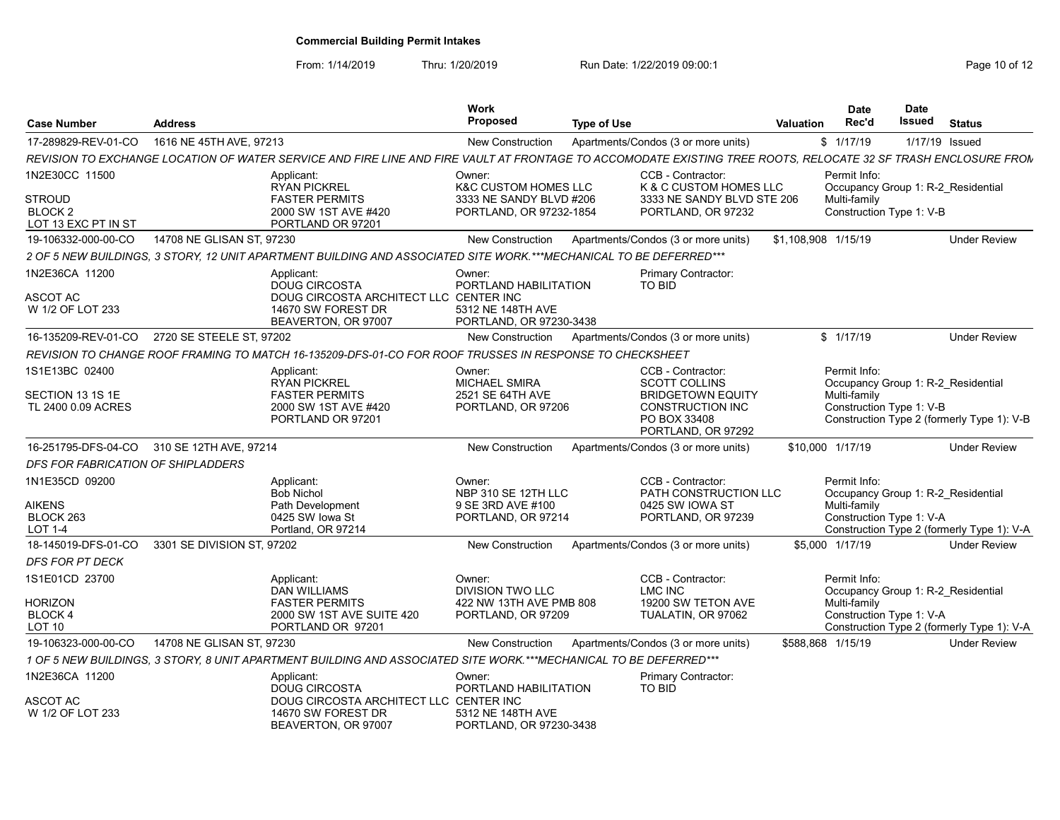From: 1/14/2019 Thru: 1/20/2019 Run Date: 1/22/2019 09:00:1<br>
Page 10 of 12

| <b>Case Number</b>                                         | <b>Address</b>             |                                                                                                                                                                | Work<br><b>Proposed</b>                                                               | <b>Type of Use</b> |                                                                            | <b>Valuation</b>    |                  | <b>Date</b><br>Rec'd                     | <b>Date</b><br>Issued | <b>Status</b>                                                     |
|------------------------------------------------------------|----------------------------|----------------------------------------------------------------------------------------------------------------------------------------------------------------|---------------------------------------------------------------------------------------|--------------------|----------------------------------------------------------------------------|---------------------|------------------|------------------------------------------|-----------------------|-------------------------------------------------------------------|
| 17-289829-REV-01-CO                                        | 1616 NE 45TH AVE, 97213    |                                                                                                                                                                | <b>New Construction</b>                                                               |                    | Apartments/Condos (3 or more units)                                        |                     | \$1/17/19        |                                          | 1/17/19 Issued        |                                                                   |
|                                                            |                            | REVISION TO EXCHANGE LOCATION OF WATER SERVICE AND FIRE LINE AND FIRE VAULT AT FRONTAGE TO ACCOMODATE EXISTING TREE ROOTS, RELOCATE 32 SF TRASH ENCLOSURE FROM |                                                                                       |                    |                                                                            |                     |                  |                                          |                       |                                                                   |
| 1N2E30CC 11500                                             |                            | Applicant:                                                                                                                                                     | Owner:                                                                                |                    | CCB - Contractor:                                                          |                     |                  | Permit Info:                             |                       |                                                                   |
| <b>STROUD</b><br>BLOCK <sub>2</sub><br>LOT 13 EXC PT IN ST |                            | <b>RYAN PICKREL</b><br><b>FASTER PERMITS</b><br>2000 SW 1ST AVE #420<br>PORTLAND OR 97201                                                                      | <b>K&amp;C CUSTOM HOMES LLC</b><br>3333 NE SANDY BLVD #206<br>PORTLAND, OR 97232-1854 |                    | K & C CUSTOM HOMES LLC<br>3333 NE SANDY BLVD STE 206<br>PORTLAND, OR 97232 |                     |                  | Multi-family<br>Construction Type 1: V-B |                       | Occupancy Group 1: R-2 Residential                                |
| 19-106332-000-00-CO                                        | 14708 NE GLISAN ST, 97230  |                                                                                                                                                                | <b>New Construction</b>                                                               |                    | Apartments/Condos (3 or more units)                                        | \$1,108,908 1/15/19 |                  |                                          |                       | <b>Under Review</b>                                               |
|                                                            |                            | 2 OF 5 NEW BUILDINGS, 3 STORY, 12 UNIT APARTMENT BUILDING AND ASSOCIATED SITE WORK.***MECHANICAL TO BE DEFERRED***                                             |                                                                                       |                    |                                                                            |                     |                  |                                          |                       |                                                                   |
| 1N2E36CA 11200                                             |                            | Applicant:                                                                                                                                                     | Owner:                                                                                |                    | Primary Contractor:                                                        |                     |                  |                                          |                       |                                                                   |
| <b>ASCOT AC</b><br>W 1/2 OF LOT 233                        |                            | <b>DOUG CIRCOSTA</b><br>DOUG CIRCOSTA ARCHITECT LLC CENTER INC<br>14670 SW FOREST DR<br>BEAVERTON, OR 97007                                                    | PORTLAND HABILITATION<br>5312 NE 148TH AVE<br>PORTLAND, OR 97230-3438                 |                    | TO BID                                                                     |                     |                  |                                          |                       |                                                                   |
| 16-135209-REV-01-CO                                        | 2720 SE STEELE ST, 97202   |                                                                                                                                                                | <b>New Construction</b>                                                               |                    | Apartments/Condos (3 or more units)                                        |                     | \$1/17/19        |                                          |                       | <b>Under Review</b>                                               |
|                                                            |                            | REVISION TO CHANGE ROOF FRAMING TO MATCH 16-135209-DFS-01-CO FOR ROOF TRUSSES IN RESPONSE TO CHECKSHEET                                                        |                                                                                       |                    |                                                                            |                     |                  |                                          |                       |                                                                   |
| 1S1E13BC 02400                                             |                            | Applicant:                                                                                                                                                     | Owner:                                                                                |                    | CCB - Contractor:                                                          |                     |                  | Permit Info:                             |                       |                                                                   |
| SECTION 13 1S 1E<br>TL 2400 0.09 ACRES                     |                            | <b>RYAN PICKREL</b><br><b>FASTER PERMITS</b><br>2000 SW 1ST AVE #420                                                                                           | <b>MICHAEL SMIRA</b><br>2521 SE 64TH AVE<br>PORTLAND, OR 97206                        |                    | <b>SCOTT COLLINS</b><br><b>BRIDGETOWN EQUITY</b><br>CONSTRUCTION INC       |                     |                  | Multi-family<br>Construction Type 1: V-B |                       | Occupancy Group 1: R-2 Residential                                |
|                                                            |                            | PORTLAND OR 97201                                                                                                                                              |                                                                                       |                    | PO BOX 33408<br>PORTLAND, OR 97292                                         |                     |                  |                                          |                       | Construction Type 2 (formerly Type 1): V-B                        |
| 16-251795-DFS-04-CO                                        | 310 SE 12TH AVE, 97214     |                                                                                                                                                                | <b>New Construction</b>                                                               |                    | Apartments/Condos (3 or more units)                                        |                     | \$10,000 1/17/19 |                                          |                       | <b>Under Review</b>                                               |
| DFS FOR FABRICATION OF SHIPLADDERS                         |                            |                                                                                                                                                                |                                                                                       |                    |                                                                            |                     |                  |                                          |                       |                                                                   |
| 1N1E35CD 09200                                             |                            | Applicant:<br><b>Bob Nichol</b>                                                                                                                                | Owner:<br>NBP 310 SE 12TH LLC                                                         |                    | CCB - Contractor:<br>PATH CONSTRUCTION LLC                                 |                     |                  | Permit Info:                             |                       | Occupancy Group 1: R-2 Residential                                |
| <b>AIKENS</b>                                              |                            | Path Development                                                                                                                                               | 9 SE 3RD AVE #100                                                                     |                    | 0425 SW IOWA ST                                                            |                     |                  | Multi-family                             |                       |                                                                   |
| BLOCK 263<br><b>LOT 1-4</b>                                |                            | 0425 SW lowa St<br>Portland, OR 97214                                                                                                                          | PORTLAND, OR 97214                                                                    |                    | PORTLAND, OR 97239                                                         |                     |                  | Construction Type 1: V-A                 |                       | Construction Type 2 (formerly Type 1): V-A                        |
| 18-145019-DFS-01-CO                                        | 3301 SE DIVISION ST, 97202 |                                                                                                                                                                | <b>New Construction</b>                                                               |                    | Apartments/Condos (3 or more units)                                        |                     | \$5.000 1/17/19  |                                          |                       | <b>Under Review</b>                                               |
| <b>DFS FOR PT DECK</b>                                     |                            |                                                                                                                                                                |                                                                                       |                    |                                                                            |                     |                  |                                          |                       |                                                                   |
| 1S1E01CD 23700                                             |                            | Applicant:<br><b>DAN WILLIAMS</b>                                                                                                                              | Owner:<br><b>DIVISION TWO LLC</b>                                                     |                    | CCB - Contractor:<br><b>LMC INC</b>                                        |                     |                  | Permit Info:                             |                       | Occupancy Group 1: R-2 Residential                                |
| <b>HORIZON</b>                                             |                            | <b>FASTER PERMITS</b>                                                                                                                                          | 422 NW 13TH AVE PMB 808                                                               |                    | 19200 SW TETON AVE                                                         |                     |                  | Multi-family                             |                       |                                                                   |
| BLOCK 4<br>LOT <sub>10</sub>                               |                            | 2000 SW 1ST AVE SUITE 420<br>PORTLAND OR 97201                                                                                                                 | PORTLAND, OR 97209                                                                    |                    | TUALATIN, OR 97062                                                         |                     |                  | Construction Type 1: V-A                 |                       |                                                                   |
| 19-106323-000-00-CO                                        | 14708 NE GLISAN ST. 97230  |                                                                                                                                                                | New Construction                                                                      |                    | Apartments/Condos (3 or more units)                                        | \$588,868 1/15/19   |                  |                                          |                       | Construction Type 2 (formerly Type 1): V-A<br><b>Under Review</b> |
|                                                            |                            | 1 OF 5 NEW BUILDINGS, 3 STORY, 8 UNIT APARTMENT BUILDING AND ASSOCIATED SITE WORK.***MECHANICAL TO BE DEFERRED***                                              |                                                                                       |                    |                                                                            |                     |                  |                                          |                       |                                                                   |
| 1N2E36CA 11200                                             |                            | Applicant:                                                                                                                                                     | Owner:                                                                                |                    | <b>Primary Contractor:</b>                                                 |                     |                  |                                          |                       |                                                                   |
| <b>ASCOT AC</b><br>W 1/2 OF LOT 233                        |                            | <b>DOUG CIRCOSTA</b><br>DOUG CIRCOSTA ARCHITECT LLC CENTER INC<br>14670 SW FOREST DR                                                                           | PORTLAND HABILITATION<br>5312 NE 148TH AVE                                            |                    | <b>TO BID</b>                                                              |                     |                  |                                          |                       |                                                                   |
|                                                            |                            | BEAVERTON, OR 97007                                                                                                                                            | PORTLAND, OR 97230-3438                                                               |                    |                                                                            |                     |                  |                                          |                       |                                                                   |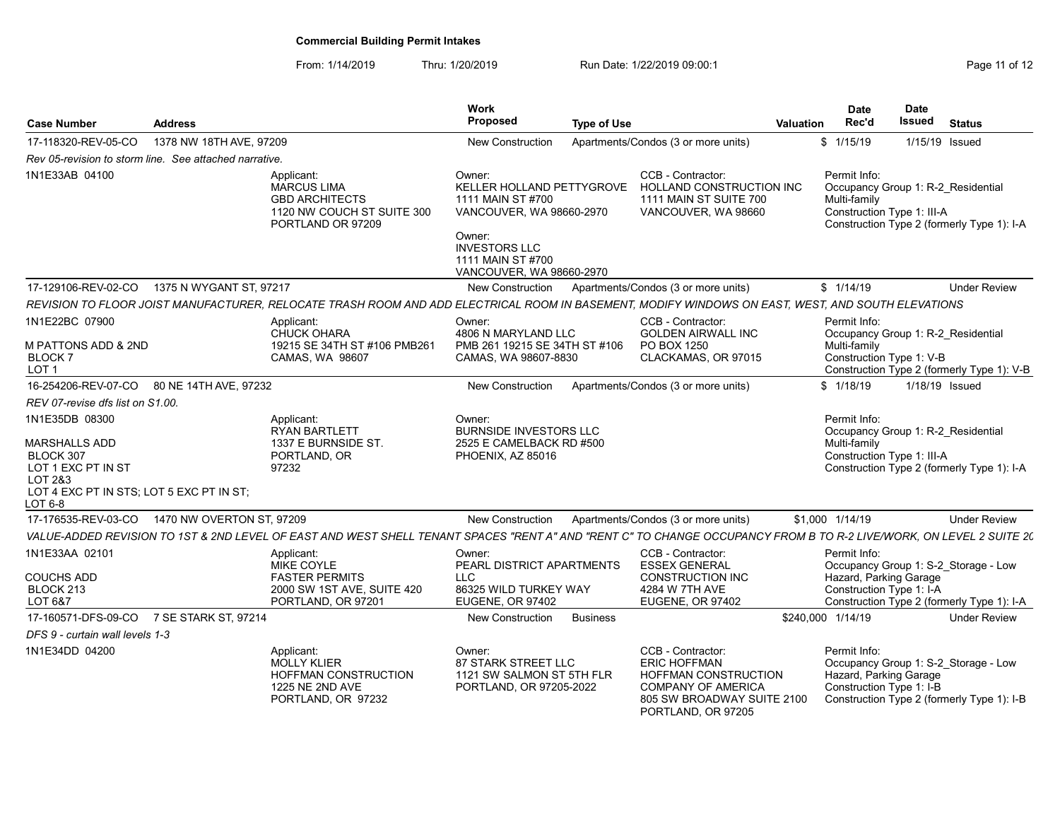| <b>Case Number</b>                                                                              | <b>Address</b>                                        |                                                                                                                                                                     | Work<br>Proposed                                                                                                                                                        | <b>Type of Use</b>                                                                                                                                       | <b>Valuation</b>  | <b>Date</b><br>Rec'd                                                                             | <b>Date</b><br>Issued | <b>Status</b>                                                                      |
|-------------------------------------------------------------------------------------------------|-------------------------------------------------------|---------------------------------------------------------------------------------------------------------------------------------------------------------------------|-------------------------------------------------------------------------------------------------------------------------------------------------------------------------|----------------------------------------------------------------------------------------------------------------------------------------------------------|-------------------|--------------------------------------------------------------------------------------------------|-----------------------|------------------------------------------------------------------------------------|
| 17-118320-REV-05-CO                                                                             | 1378 NW 18TH AVE, 97209                               |                                                                                                                                                                     | <b>New Construction</b>                                                                                                                                                 | Apartments/Condos (3 or more units)                                                                                                                      |                   | \$1/15/19                                                                                        | 1/15/19 Issued        |                                                                                    |
|                                                                                                 | Rev 05-revision to storm line. See attached narrative |                                                                                                                                                                     |                                                                                                                                                                         |                                                                                                                                                          |                   |                                                                                                  |                       |                                                                                    |
| 1N1E33AB 04100                                                                                  |                                                       | Applicant:<br><b>MARCUS LIMA</b><br><b>GBD ARCHITECTS</b><br>1120 NW COUCH ST SUITE 300<br>PORTLAND OR 97209                                                        | Owner:<br>KELLER HOLLAND PETTYGROVE<br>1111 MAIN ST #700<br>VANCOUVER, WA 98660-2970<br>Owner:<br><b>INVESTORS LLC</b><br>1111 MAIN ST #700<br>VANCOUVER, WA 98660-2970 | CCB - Contractor:<br>HOLLAND CONSTRUCTION INC<br>1111 MAIN ST SUITE 700<br>VANCOUVER, WA 98660                                                           |                   | Permit Info:<br>Occupancy Group 1: R-2 Residential<br>Multi-family<br>Construction Type 1: III-A |                       | Construction Type 2 (formerly Type 1): I-A                                         |
| 17-129106-REV-02-CO                                                                             | 1375 N WYGANT ST. 97217                               |                                                                                                                                                                     | New Construction                                                                                                                                                        | Apartments/Condos (3 or more units)                                                                                                                      |                   | \$1/14/19                                                                                        |                       | <b>Under Review</b>                                                                |
|                                                                                                 |                                                       | REVISION TO FLOOR JOIST MANUFACTURER, RELOCATE TRASH ROOM AND ADD ELECTRICAL ROOM IN BASEMENT, MODIFY WINDOWS ON EAST, WEST, AND SOUTH ELEVATIONS                   |                                                                                                                                                                         |                                                                                                                                                          |                   |                                                                                                  |                       |                                                                                    |
| 1N1E22BC 07900<br>M PATTONS ADD & 2ND<br><b>BLOCK7</b><br>LOT <sub>1</sub>                      |                                                       | Applicant:<br><b>CHUCK OHARA</b><br>19215 SE 34TH ST #106 PMB261<br>CAMAS, WA 98607                                                                                 | Owner:<br>4806 N MARYLAND LLC<br>PMB 261 19215 SE 34TH ST #106<br>CAMAS, WA 98607-8830                                                                                  | CCB - Contractor:<br><b>GOLDEN AIRWALL INC</b><br>PO BOX 1250<br>CLACKAMAS, OR 97015                                                                     |                   | Permit Info:<br>Occupancy Group 1: R-2 Residential<br>Multi-family<br>Construction Type 1: V-B   |                       | Construction Type 2 (formerly Type 1): V-B                                         |
|                                                                                                 | 16-254206-REV-07-CO 80 NE 14TH AVE, 97232             |                                                                                                                                                                     | <b>New Construction</b>                                                                                                                                                 | Apartments/Condos (3 or more units)                                                                                                                      |                   | \$1/18/19                                                                                        | 1/18/19 Issued        |                                                                                    |
| REV 07-revise dfs list on S1.00.                                                                |                                                       |                                                                                                                                                                     |                                                                                                                                                                         |                                                                                                                                                          |                   |                                                                                                  |                       |                                                                                    |
| 1N1E35DB 08300<br><b>MARSHALLS ADD</b><br>BLOCK 307<br>LOT 1 EXC PT IN ST<br>LOT 2&3<br>LOT 6-8 | LOT 4 EXC PT IN STS; LOT 5 EXC PT IN ST;              | Applicant:<br><b>RYAN BARTLETT</b><br>1337 E BURNSIDE ST.<br>PORTLAND, OR<br>97232                                                                                  | Owner:<br><b>BURNSIDE INVESTORS LLC</b><br>2525 E CAMELBACK RD #500<br>PHOENIX, AZ 85016                                                                                |                                                                                                                                                          |                   | Permit Info:<br>Occupancy Group 1: R-2 Residential<br>Multi-family<br>Construction Type 1: III-A |                       | Construction Type 2 (formerly Type 1): I-A                                         |
|                                                                                                 | 17-176535-REV-03-CO  1470 NW OVERTON ST, 97209        |                                                                                                                                                                     | <b>New Construction</b>                                                                                                                                                 | Apartments/Condos (3 or more units)                                                                                                                      |                   | \$1,000 1/14/19                                                                                  |                       | <b>Under Review</b>                                                                |
|                                                                                                 |                                                       | VALUE-ADDED REVISION TO 1ST & 2ND LEVEL OF EAST AND WEST SHELL TENANT SPACES "RENT A" AND "RENT C" TO CHANGE OCCUPANCY FROM B TO R-2 LIVE/WORK, ON LEVEL 2 SUITE 20 |                                                                                                                                                                         |                                                                                                                                                          |                   |                                                                                                  |                       |                                                                                    |
| 1N1E33AA 02101<br><b>COUCHS ADD</b><br>BLOCK 213<br>LOT 6&7                                     |                                                       | Applicant:<br><b>MIKE COYLE</b><br><b>FASTER PERMITS</b><br>2000 SW 1ST AVE, SUITE 420<br>PORTLAND, OR 97201                                                        | Owner:<br>PEARL DISTRICT APARTMENTS<br><b>LLC</b><br>86325 WILD TURKEY WAY<br><b>EUGENE, OR 97402</b>                                                                   | CCB - Contractor:<br><b>ESSEX GENERAL</b><br><b>CONSTRUCTION INC</b><br>4284 W 7TH AVE<br><b>EUGENE, OR 97402</b>                                        |                   | Permit Info:<br>Hazard, Parking Garage<br>Construction Type 1: I-A                               |                       | Occupancy Group 1: S-2_Storage - Low<br>Construction Type 2 (formerly Type 1): I-A |
|                                                                                                 | 17-160571-DFS-09-CO 7 SE STARK ST, 97214              |                                                                                                                                                                     | New Construction                                                                                                                                                        | <b>Business</b>                                                                                                                                          | \$240,000 1/14/19 |                                                                                                  |                       | <b>Under Review</b>                                                                |
| DFS 9 - curtain wall levels 1-3                                                                 |                                                       |                                                                                                                                                                     |                                                                                                                                                                         |                                                                                                                                                          |                   |                                                                                                  |                       |                                                                                    |
| 1N1E34DD 04200                                                                                  |                                                       | Applicant:<br><b>MOLLY KLIER</b><br><b>HOFFMAN CONSTRUCTION</b><br><b>1225 NE 2ND AVE</b><br>PORTLAND, OR 97232                                                     | Owner:<br><b>87 STARK STREET LLC</b><br>1121 SW SALMON ST 5TH FLR<br>PORTLAND, OR 97205-2022                                                                            | CCB - Contractor:<br><b>ERIC HOFFMAN</b><br><b>HOFFMAN CONSTRUCTION</b><br><b>COMPANY OF AMERICA</b><br>805 SW BROADWAY SUITE 2100<br>PORTLAND, OR 97205 |                   | Permit Info:<br>Hazard, Parking Garage<br>Construction Type 1: I-B                               |                       | Occupancy Group 1: S-2_Storage - Low<br>Construction Type 2 (formerly Type 1): I-B |